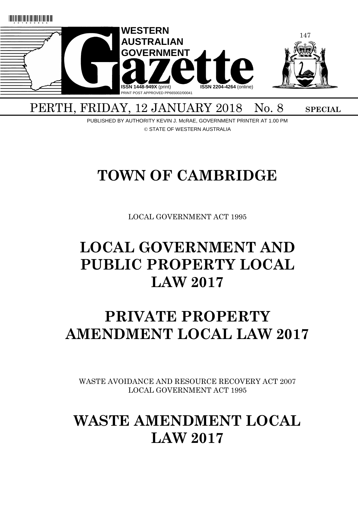

# PERTH, FRIDAY, 12 JANUARY 2018 No. 8 SPECIAL

PUBLISHED BY AUTHORITY KEVIN J. McRAE, GOVERNMENT PRINTER AT 1.00 PM © STATE OF WESTERN AUSTRALIA

# **TOWN OF CAMBRIDGE**

LOCAL GOVERNMENT ACT 1995

# **LOCAL GOVERNMENT AND PUBLIC PROPERTY LOCAL LAW 2017**

# **PRIVATE PROPERTY AMENDMENT LOCAL LAW 2017**

WASTE AVOIDANCE AND RESOURCE RECOVERY ACT 2007 LOCAL GOVERNMENT ACT 1995

# **WASTE AMENDMENT LOCAL LAW 2017**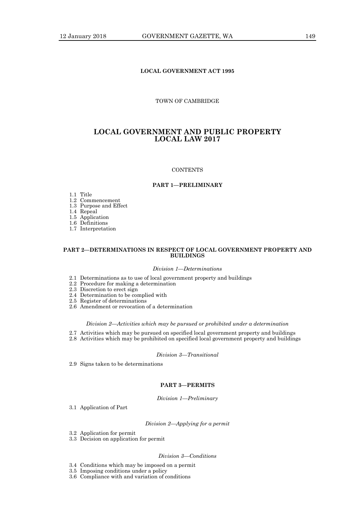# **LOCAL GOVERNMENT ACT 1995**

# TOWN OF CAMBRIDGE

# **LOCAL GOVERNMENT AND PUBLIC PROPERTY LOCAL LAW 2017**

#### **CONTENTS**

#### **PART 1—PRELIMINARY**

1.1 Title

1.2 Commencement

1.3 Purpose and Effect

1.4 Repeal

1.5 Application

1.6 Definitions

1.7 Interpretation

#### **PART 2—DETERMINATIONS IN RESPECT OF LOCAL GOVERNMENT PROPERTY AND BUILDINGS**

#### *Division 1—Determinations*

- 2.1 Determinations as to use of local government property and buildings
- 2.2 Procedure for making a determination
- 2.3 Discretion to erect sign
- 2.4 Determination to be complied with

2.5 Register of determinations

2.6 Amendment or revocation of a determination

#### *Division 2—Activities which may be pursued or prohibited under a determination*

- 2.7 Activities which may be pursued on specified local government property and buildings
- 2.8 Activities which may be prohibited on specified local government property and buildings

#### *Division 3—Transitional*

2.9 Signs taken to be determinations

# **PART 3—PERMITS**

#### *Division 1—Preliminary*

3.1 Application of Part

#### *Division 2—Applying for a permit*

- 3.2 Application for permit
- 3.3 Decision on application for permit

#### *Division 3—Conditions*

- 3.4 Conditions which may be imposed on a permit
- 3.5 Imposing conditions under a policy
- 3.6 Compliance with and variation of conditions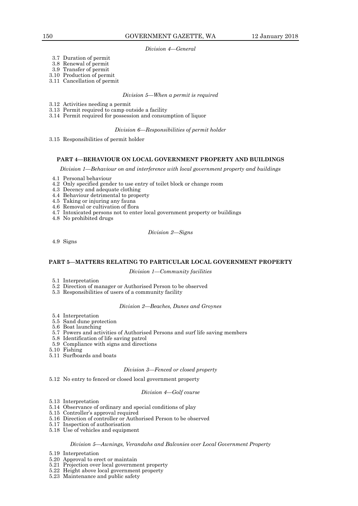*Division 4—General*

- 3.7 Duration of permit
- 3.8 Renewal of permit
- 3.9 Transfer of permit
- 3.10 Production of permit
- 3.11 Cancellation of permit

# *Division 5—When a permit is required*

- 3.12 Activities needing a permit
- 3.13 Permit required to camp outside a facility
- 3.14 Permit required for possession and consumption of liquor

#### *Division 6—Responsibilities of permit holder*

3.15 Responsibilities of permit holder

#### **PART 4—BEHAVIOUR ON LOCAL GOVERNMENT PROPERTY AND BUILDINGS**

*Division 1—Behaviour on and interference with local government property and buildings*

- 4.1 Personal behaviour
- 4.2 Only specified gender to use entry of toilet block or change room
- 4.3 Decency and adequate clothing
- 4.4 Behaviour detrimental to property
- 4.5 Taking or injuring any fauna
- 4.6 Removal or cultivation of flora
- 4.7 Intoxicated persons not to enter local government property or buildings
- 4.8 No prohibited drugs

*Division 2—Signs*

4.9 Signs

# **PART 5—MATTERS RELATING TO PARTICULAR LOCAL GOVERNMENT PROPERTY**

#### *Division 1—Community facilities*

- 5.1 Interpretation
- 5.2 Direction of manager or Authorised Person to be observed
- 5.3 Responsibilities of users of a community facility

#### *Division 2—Beaches, Dunes and Groynes*

- 5.4 Interpretation
- 5.5 Sand dune protection
- 5.6 Boat launching
- 5.7 Powers and activities of Authorised Persons and surf life saving members
- 5.8 Identification of life saving patrol
- 5.9 Compliance with signs and directions
- 5.10 Fishing
- 5.11 Surfboards and boats

#### *Division 3—Fenced or closed property*

5.12 No entry to fenced or closed local government property

#### *Division 4—Golf course*

- 5.13 Interpretation
- 5.14 Observance of ordinary and special conditions of play
- 5.15 Controller's approval required
- 5.16 Direction of controller or Authorised Person to be observed
- 5.17 Inspection of authorisation
- 5.18 Use of vehicles and equipment

#### *Division 5—Awnings, Verandahs and Balconies over Local Government Property*

- 5.19 Interpretation
- 5.20 Approval to erect or maintain
- 5.21 Projection over local government property
- 5.22 Height above local government property
- 5.23 Maintenance and public safety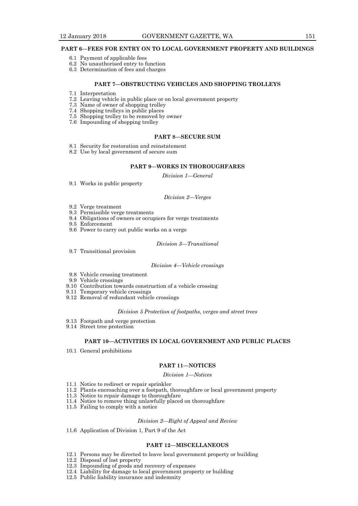#### **PART 6—FEES FOR ENTRY ON TO LOCAL GOVERNMENT PROPERTY AND BUILDINGS**

- 6.1 Payment of applicable fees
- 6.2 No unauthorised entry to function
- 6.3 Determination of fees and charges

# **PART 7—OBSTRUCTING VEHICLES AND SHOPPING TROLLEYS**

- 7.1 Interpretation
- 7.2 Leaving vehicle in public place or on local government property
- 7.3 Name of owner of shopping trolley
- 7.4 Shopping trolleys in public places
- 7.5 Shopping trolley to be removed by owner
- 7.6 Impounding of shopping trolley

### **PART 8—SECURE SUM**

- 8.1 Security for restoration and reinstatement
- 8.2 Use by local government of secure sum

#### **PART 9—WORKS IN THOROUGHFARES**

*Division 1—General*

9.1 Works in public property

#### *Division 2—Verges*

- 9.2 Verge treatment
- 9.3 Permissible verge treatments
- 9.4 Obligations of owners or occupiers for verge treatments
- 9.5 Enforcement
- 9.6 Power to carry out public works on a verge

#### *Division 3—Transitional*

9.7 Transitional provision

### *Division 4—Vehicle crossings*

- 9.8 Vehicle crossing treatment
- 9.9 Vehicle crossings
- 9.10 Contribution towards construction of a vehicle crossing
- 9.11 Temporary vehicle crossings
- 9.12 Removal of redundant vehicle crossings

#### *Division 5 Protection of footpaths, verges and street trees*

- 9.13 Footpath and verge protection
- 9.14 Street tree protection

#### **PART 10—ACTIVITIES IN LOCAL GOVERNMENT AND PUBLIC PLACES**

10.1 General prohibitions

# **PART 11—NOTICES**

#### *Division 1—Notices*

- 11.1 Notice to redirect or repair sprinkler
- 11.2 Plants encroaching over a footpath, thoroughfare or local government property
- 11.3 Notice to repair damage to thoroughfare
- 11.4 Notice to remove thing unlawfully placed on thoroughfare
- 11.5 Failing to comply with a notice

#### *Division 2—Right of Appeal and Review*

11.6 Application of Division 1, Part 9 of the Act

#### **PART 12—MISCELLANEOUS**

- 12.1 Persons may be directed to leave local government property or building
- 12.2 Disposal of lost property
- 12.3 Impounding of goods and recovery of expenses
- 12.4 Liability for damage to local government property or building
- 12.5 Public liability insurance and indemnity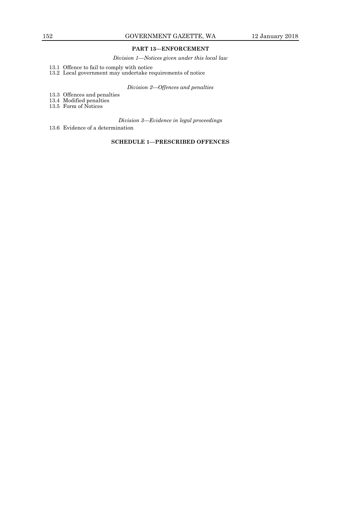# **PART 13—ENFORCEMENT**

*Division 1—Notices given under this local law*

- 13.1 Offence to fail to comply with notice
- 13.2 Local government may undertake requirements of notice

*Division 2—Offences and penalties*

- 13.3 Offences and penalties
- 13.4 Modified penalties
- 13.5 Form of Notices

*Division 3—Evidence in legal proceedings*

13.6 Evidence of a determination

# **SCHEDULE 1—PRESCRIBED OFFENCES**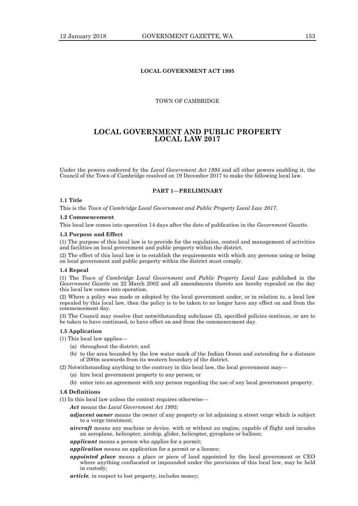# **LOCAL GOVERNMENT ACT 1995**

### TOWN OF CAMBRIDGE

# **LOCAL GOVERNMENT AND PUBLIC PROPERTY LOCAL LAW 2017**

Under the powers conferred by the *Local Government Act 1995* and all other powers enabling it, the Council of the Town of Cambridge resolved on 19 December 2017 to make the following local law.

# **PART 1—PRELIMINARY**

#### **1.1 Title**

This is the *Town of Cambridge Local Government and Public Property Local Law 2017*.

#### **1.2 Commencement**

This local law comes into operation 14 days after the date of publication in the *Government Gazette*.

#### **1.3 Purpose and Effect**

(1) The purpose of this local law is to provide for the regulation, control and management of activities and facilities on local government and public property within the district.

(2) The effect of this local law is to establish the requirements with which any persons using or being on local government and public property within the district must comply.

#### **1.4 Repeal**

(1) The *Town of Cambridge Local Government and Public Property Local Law* published in the *Government Gazette* on 22 March 2002 and all amendments thereto are hereby repealed on the day this local law comes into operation.

(2) Where a policy was made or adopted by the local government under, or in relation to, a local law repealed by this local law, then the policy is to be taken to no longer have any effect on and from the commencement day.

(3) The Council may resolve that notwithstanding subclause (2), specified policies continue, or are to be taken to have continued, to have effect on and from the commencement day.

#### **1.5 Application**

- (1) This local law applies—
	- (a) throughout the district; and
	- (b) to the area bounded by the low water mark of the Indian Ocean and extending for a distance of 200m seawards from its western boundary of the district.
- (2) Notwithstanding anything to the contrary in this local law, the local government may—
	- (a) hire local government property to any person; or
	- (b) enter into an agreement with any person regarding the use of any local government property.

# **1.6 Definitions**

(1) In this local law unless the context requires otherwise—

*Act* means the *Local Government Act 1995*;

- *adjacent owner* means the owner of any property or lot adjoining a street verge which is subject to a verge treatment;
- *aircraft* means any machine or device, with or without an engine, capable of flight and incudes an aeroplane, helicopter, airship, glider, helicopter, gyroplane or balloon;
- *applicant* means a person who applies for a permit;
- *application* means an application for a permit or a licence;
- *appointed place* means a place or piece of land appointed by the local government or CEO where anything confiscated or impounded under the provisions of this local law, may be held in custody;
- *article,* in respect to lost property, includes money;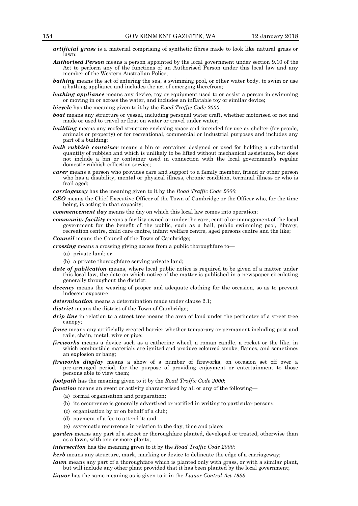- *artificial grass* is a material comprising of synthetic fibres made to look like natural grass or lawn;
- *Authorised Person* means a person appointed by the local government under section 9.10 of the Act to perform any of the functions of an Authorised Person under this local law and any member of the Western Australian Police;
- **bathing** means the act of entering the sea, a swimming pool, or other water body, to swim or use a bathing appliance and includes the act of emerging therefrom;
- **bathing appliance** means any device, toy or equipment used to or assist a person in swimming or moving in or across the water, and includes an inflatable toy or similar device;

*bicycle* has the meaning given to it by the *Road Traffic Code 2000*;

- *boat* means any structure or vessel, including personal water craft, whether motorised or not and made or used to travel or float on water or travel under water;
- *building* means any roofed structure enclosing space and intended for use as shelter (for people, animals or property) or for recreational, commercial or industrial purposes and includes any part of a building;
- *bulk rubbish container* means a bin or container designed or used for holding a substantial quantity of rubbish and which is unlikely to be lifted without mechanical assistance, but does not include a bin or container used in connection with the local government's regular domestic rubbish collection service;
- *carer* means a person who provides care and support to a family member, friend or other person who has a disability, mental or physical illness, chronic condition, terminal illness or who is frail aged;

*carriageway* has the meaning given to it by the *Road Traffic Code 2000*;

*CEO* means the Chief Executive Officer of the Town of Cambridge or the Officer who, for the time being, is acting in that capacity;

*commencement day* means the day on which this local law comes into operation;

*community facility* means a facility owned or under the care, control or management of the local government for the benefit of the public, such as a hall, public swimming pool, library, recreation centre, child care centre, infant welfare centre, aged persons centre and the like;

*Council* means the Council of the Town of Cambridge;

*crossing* means a crossing giving access from a public thoroughfare to—

- (a) private land; or
- (b) a private thoroughfare serving private land;
- *date of publication* means, where local public notice is required to be given of a matter under this local law, the date on which notice of the matter is published in a newspaper circulating generally throughout the district;
- *decency* means the wearing of proper and adequate clothing for the occasion, so as to prevent indecent exposure;
- *determination* means a determination made under clause 2.1;

*district* means the district of the Town of Cambridge;

- *drip line* in relation to a street tree means the area of land under the perimeter of a street tree canopy;
- *fence* means any artificially created barrier whether temporary or permanent including post and rails, chain, metal, wire or pipe;
- *fireworks* means a device such as a catherine wheel, a roman candle, a rocket or the like, in which combustible materials are ignited and produce coloured smoke, flames, and sometimes an explosion or bang;
- *fireworks display* means a show of a number of fireworks, on occasion set off over a pre-arranged period, for the purpose of providing enjoyment or entertainment to those persons able to view them;

*footpath* has the meaning given to it by the *Road Traffic Code 2000*;

- *function* means an event or activity characterised by all or any of the following—
	- (a) formal organisation and preparation;
	- (b) its occurrence is generally advertised or notified in writing to particular persons;
	- (c) organisation by or on behalf of a club;
	- (d) payment of a fee to attend it; and
	- (e) systematic recurrence in relation to the day, time and place;

**garden** means any part of a street or thoroughfare planted, developed or treated, otherwise than as a lawn, with one or more plants;

*intersection* has the meaning given to it by the *Road Traffic Code 2000*;

*kerb* means any structure, mark, marking or device to delineate the edge of a carriageway;

*lawn* means any part of a thoroughfare which is planted only with grass, or with a similar plant, but will include any other plant provided that it has been planted by the local government;

*liquor* has the same meaning as is given to it in the *Liquor Control Act 1988*;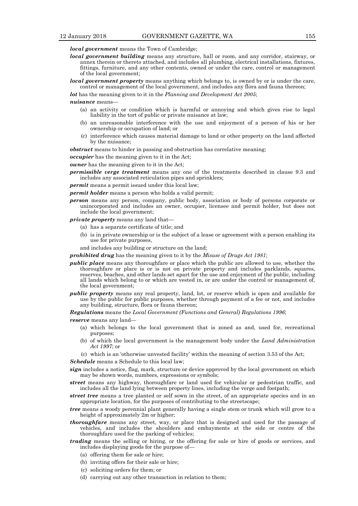*local government* means the Town of Cambridge;

- *local government building* means any structure, hall or room, and any corridor, stairway, or annex therein or thereto attached, and includes all plumbing, electrical installations, fixtures, fittings, furniture, and any other contents, owned or under the care, control or management of the local government;
- *local government property* means anything which belongs to, is owned by or is under the care, control or management of the local government, and includes any flora and fauna thereon;

*lot* has the meaning given to it in the *Planning and Development Act 2005*;

*nuisance* means—

- (a) an activity or condition which is harmful or annoying and which gives rise to legal liability in the tort of public or private nuisance at law;
- (b) an unreasonable interference with the use and enjoyment of a person of his or her ownership or occupation of land; or
- (c) interference which causes material damage to land or other property on the land affected by the nuisance;

*obstruct* means to hinder in passing and obstruction has correlative meaning;

*occupier* has the meaning given to it in the Act;

*owner* has the meaning given to it in the Act;

*permissible verge treatment* means any one of the treatments described in clause 9.3 and includes any associated reticulation pipes and sprinklers;

*permit* means a permit issued under this local law;

*permit holder* means a person who holds a valid permit;

- *person* means any person, company, public body, association or body of persons corporate or unincorporated and includes an owner, occupier, licensee and permit holder, but does not include the local government;
- *private property* means any land that—
	- (a) has a separate certificate of title; and
	- (b) is in private ownership or is the subject of a lease or agreement with a person enabling its use for private purposes,

and includes any building or structure on the land;

*prohibited drug* has the meaning given to it by the *Misuse of Drugs Act 1981*;

- *public place* means any thoroughfare or place which the public are allowed to use, whether the thoroughfare or place is or is not on private property and includes parklands, squares, reserves, beaches, and other lands set apart for the use and enjoyment of the public, including all lands which belong to or which are vested in, or are under the control or management of, the local government;
- *public property* means any real property, land, lot, or reserve which is open and available for use by the public for public purposes, whether through payment of a fee or not, and includes any building, structure, flora or fauna thereon;

#### *Regulations* means the *Local Government (Functions and General) Regulations 1996*;

*reserve* means any land—

- (a) which belongs to the local government that is zoned as and, used for, recreational purposes;
- (b) of which the local government is the management body under the *Land Administration Act 1997*; or
- (c) which is an 'otherwise unvested facility' within the meaning of section 3.53 of the Act;

*Schedule* means a Schedule to this local law;

- *sign* includes a notice, flag, mark, structure or device approved by the local government on which may be shown words, numbers, expressions or symbols;
- *street* means any highway, thoroughfare or land used for vehicular or pedestrian traffic, and includes all the land lying between property lines, including the verge and footpath;
- *street tree* means a tree planted or self sown in the street, of an appropriate species and in an appropriate location, for the purposes of contributing to the streetscape;
- *tree* means a woody perennial plant generally having a single stem or trunk which will grow to a height of approximately 2m or higher;
- *thoroughfare* means any street, way, or place that is designed and used for the passage of vehicles, and includes the shoulders and embayments at the side or centre of the thoroughfare used for the parking of vehicles;
- *trading* means the selling or hiring, or the offering for sale or hire of goods or services, and includes displaying goods for the purpose of—
	- (a) offering them for sale or hire;
	- (b) inviting offers for their sale or hire;
	- (c) soliciting orders for them; or
	- (d) carrying out any other transaction in relation to them;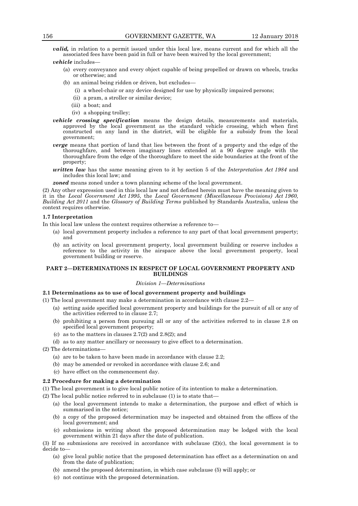*valid,* in relation to a permit issued under this local law, means current and for which all the associated fees have been paid in full or have been waived by the local government;

#### *vehicle* includes—

- (a) every conveyance and every object capable of being propelled or drawn on wheels, tracks or otherwise; and
- (b) an animal being ridden or driven, but excludes—
	- (i) a wheel-chair or any device designed for use by physically impaired persons;
	- (ii) a pram, a stroller or similar device;
	- (iii) a boat; and
	- (iv) a shopping trolley;
- *vehicle crossing specification* means the design details, measurements and materials, approved by the local government as the standard vehicle crossing, which when first constructed on any land in the district, will be eligible for a subsidy from the local government;
- *verge* means that portion of land that lies between the front of a property and the edge of the thoroughfare, and between imaginary lines extended at a 90 degree angle with the thoroughfare from the edge of the thoroughfare to meet the side boundaries at the front of the property;
- *written law* has the same meaning given to it by section 5 of the *Interpretation Act 1984* and includes this local law; and

**zoned** means zoned under a town planning scheme of the local government.

(2) Any other expression used in this local law and not defined herein must have the meaning given to it in the *Local Government Act 1995*, the *Local Government (Miscellaneous Provisions) Act 1960, Building Act 2011* and the *Glossary of Building Terms* published by Standards Australia, unless the context requires otherwise.

#### **1.7 Interpretation**

In this local law unless the context requires otherwise a reference to—

- (a) local government property includes a reference to any part of that local government property; and
- (b) an activity on local government property, local government building or reserve includes a reference to the activity in the airspace above the local government property, local government building or reserve.

#### **PART 2—DETERMINATIONS IN RESPECT OF LOCAL GOVERNMENT PROPERTY AND BUILDINGS**

#### *Division 1—Determinations*

#### **2.1 Determinations as to use of local government property and buildings**

(1) The local government may make a determination in accordance with clause 2.2—

- (a) setting aside specified local government property and buildings for the pursuit of all or any of the activities referred to in clause 2.7;
- (b) prohibiting a person from pursuing all or any of the activities referred to in clause 2.8 on specified local government property;
- (c) as to the matters in clauses 2.7(2) and 2.8(2); and
- (d) as to any matter ancillary or necessary to give effect to a determination.
- (2) The determinations—
	- (a) are to be taken to have been made in accordance with clause 2.2;
	- (b) may be amended or revoked in accordance with clause 2.6; and
	- (c) have effect on the commencement day.

#### **2.2 Procedure for making a determination**

(1) The local government is to give local public notice of its intention to make a determination.

- (2) The local public notice referred to in subclause (1) is to state that—
	- (a) the local government intends to make a determination, the purpose and effect of which is summarised in the notice;
	- (b) a copy of the proposed determination may be inspected and obtained from the offices of the local government; and
	- (c) submissions in writing about the proposed determination may be lodged with the local government within 21 days after the date of publication.

(3) If no submissions are received in accordance with subclause (2)(c), the local government is to decide to—

- (a) give local public notice that the proposed determination has effect as a determination on and from the date of publication;
- (b) amend the proposed determination, in which case subclause (5) will apply; or
- (c) not continue with the proposed determination.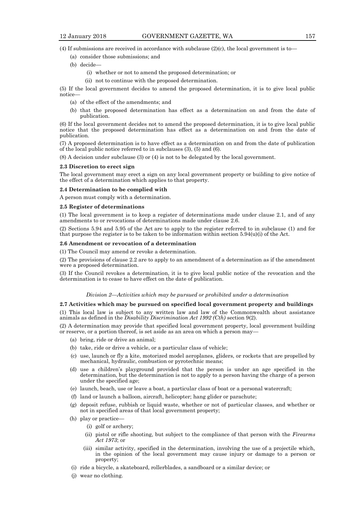(4) If submissions are received in accordance with subclause  $(2)(c)$ , the local government is to

- (a) consider those submissions; and
- (b) decide—
	- (i) whether or not to amend the proposed determination; or
	- (ii) not to continue with the proposed determination.

(5) If the local government decides to amend the proposed determination, it is to give local public notice—

- (a) of the effect of the amendments; and
- (b) that the proposed determination has effect as a determination on and from the date of publication.

(6) If the local government decides not to amend the proposed determination, it is to give local public notice that the proposed determination has effect as a determination on and from the date of publication.

(7) A proposed determination is to have effect as a determination on and from the date of publication of the local public notice referred to in subclauses (3), (5) and (6).

(8) A decision under subclause (3) or (4) is not to be delegated by the local government.

#### **2.3 Discretion to erect sign**

The local government may erect a sign on any local government property or building to give notice of the effect of a determination which applies to that property.

#### **2.4 Determination to be complied with**

A person must comply with a determination.

#### **2.5 Register of determinations**

(1) The local government is to keep a register of determinations made under clause 2.1, and of any amendments to or revocations of determinations made under clause 2.6.

(2) Sections 5.94 and 5.95 of the Act are to apply to the register referred to in subclause (1) and for that purpose the register is to be taken to be information within section  $5.94(u)(i)$  of the Act.

#### **2.6 Amendment or revocation of a determination**

(1) The Council may amend or revoke a determination.

(2) The provisions of clause 2.2 are to apply to an amendment of a determination as if the amendment were a proposed determination.

(3) If the Council revokes a determination, it is to give local public notice of the revocation and the determination is to cease to have effect on the date of publication.

#### *Division 2—Activities which may be pursued or prohibited under a determination*

#### **2.7 Activities which may be pursued on specified local government property and buildings**

(1) This local law is subject to any written law and law of the Commonwealth about assistance animals as defined in the *Disability Discrimination Act 1992 (Cth)* section 9(2).

(2) A determination may provide that specified local government property, local government building or reserve, or a portion thereof, is set aside as an area on which a person may—

- (a) bring, ride or drive an animal;
- (b) take, ride or drive a vehicle, or a particular class of vehicle;
- (c) use, launch or fly a kite, motorized model aeroplanes, gliders, or rockets that are propelled by mechanical, hydraulic, combustion or pyrotechnic means;
- (d) use a children's playground provided that the person is under an age specified in the determination, but the determination is not to apply to a person having the charge of a person under the specified age;
- (e) launch, beach, use or leave a boat, a particular class of boat or a personal watercraft;
- (f) land or launch a balloon, aircraft, helicopter; hang glider or parachute;
- (g) deposit refuse, rubbish or liquid waste, whether or not of particular classes, and whether or not in specified areas of that local government property;
- (h) play or practice—
	- (i) golf or archery;
	- (ii) pistol or rifle shooting, but subject to the compliance of that person with the *Firearms Act 1973*; or
	- (iii) similar activity, specified in the determination, involving the use of a projectile which, in the opinion of the local government may cause injury or damage to a person or property;
- (i) ride a bicycle, a skateboard, rollerblades, a sandboard or a similar device; or
- (j) wear no clothing.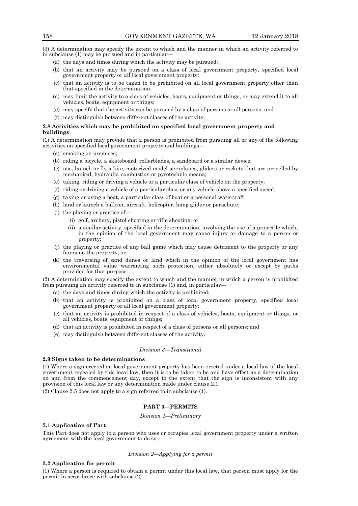(3) A determination may specify the extent to which and the manner in which an activity referred to in subclause (1) may be pursued and in particular—

- (a) the days and times during which the activity may be pursued;
- (b) that an activity may be pursued on a class of local government property, specified local government property or all local government property;
- (c) that an activity is to be taken to be prohibited on all local government property other than that specified in the determination;
- (d) may limit the activity to a class of vehicles, boats, equipment or things, or may extend it to all vehicles, boats, equipment or things;
- (e) may specify that the activity can be pursued by a class of persons or all persons; and
- (f) may distinguish between different classes of the activity.

### **2.8 Activities which may be prohibited on specified local government property and buildings**

(1) A determination may provide that a person is prohibited from pursuing all or any of the following activities on specified local government property and buildings—

- (a) smoking on premises;
- (b) riding a bicycle, a skateboard, rollerblades, a sandboard or a similar device;
- (c) use, launch or fly a kite, motorized model aeroplanes, gliders or rockets that are propelled by mechanical, hydraulic, combustion or pyrotechnic means;
- (e) taking, riding or driving a vehicle or a particular class of vehicle on the property;
- (f) riding or driving a vehicle of a particular class or any vehicle above a specified speed;
- (g) taking or using a boat, a particular class of boat or a personal watercraft;
- (h) land or launch a balloon, aircraft, helicopter, hang glider or parachute;
- (i) the playing or practice of—
	- (i) golf, archery, pistol shooting or rifle shooting; or
	- (ii) a similar activity, specified in the determination, involving the use of a projectile which, in the opinion of the local government may cause injury or damage to a person or property;
- (j) the playing or practice of any ball game which may cause detriment to the property or any fauna on the property; or
- (k) the traversing of sand dunes or land which in the opinion of the local government has environmental value warranting such protection, either absolutely or except by paths provided for that purpose.

(2) A determination may specify the extent to which and the manner in which a person is prohibited from pursuing an activity referred to in subclause (1) and, in particular—

- (a) the days and times during which the activity is prohibited;
- (b) that an activity is prohibited on a class of local government property, specified local government property or all local government property;
- (c) that an activity is prohibited in respect of a class of vehicles, boats, equipment or things, or all vehicles, boats, equipment or things;
- (d) that an activity is prohibited in respect of a class of persons or all persons; and
- (e) may distinguish between different classes of the activity.

#### *Division 3—Transitional*

# **2.9 Signs taken to be determinations**

(1) Where a sign erected on local government property has been erected under a local law of the local government repealed by this local law, then it is to be taken to be and have effect as a determination on and from the commencement day, except to the extent that the sign is inconsistent with any provision of this local law or any determination made under clause 2.1.

(2) Clause 2.5 does not apply to a sign referred to in subclause (1).

# **PART 3—PERMITS**

### *Division 1—Preliminary*

# **3.1 Application of Part**

This Part does not apply to a person who uses or occupies local government property under a written agreement with the local government to do so.

#### *Division 2—Applying for a permit*

#### **3.2 Application for permit**

(1) Where a person is required to obtain a permit under this local law, that person must apply for the permit in accordance with subclause (2).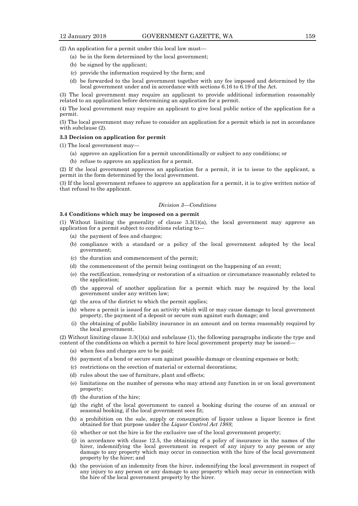(2) An application for a permit under this local law must—

- (a) be in the form determined by the local government;
- (b) be signed by the applicant;
- (c) provide the information required by the form; and
- (d) be forwarded to the local government together with any fee imposed and determined by the local government under and in accordance with sections 6.16 to 6.19 of the Act.

(3) The local government may require an applicant to provide additional information reasonably related to an application before determining an application for a permit.

(4) The local government may require an applicant to give local public notice of the application for a permit.

(5) The local government may refuse to consider an application for a permit which is not in accordance with subclause (2).

#### **3.3 Decision on application for permit**

(1) The local government may—

- (a) approve an application for a permit unconditionally or subject to any conditions; or
- (b) refuse to approve an application for a permit.

(2) If the local government approves an application for a permit, it is to issue to the applicant, a permit in the form determined by the local government.

(3) If the local government refuses to approve an application for a permit, it is to give written notice of that refusal to the applicant.

#### *Division 3—Conditions*

# **3.4 Conditions which may be imposed on a permit**

(1) Without limiting the generality of clause 3.3(1)(a), the local government may approve an application for a permit subject to conditions relating to—

- (a) the payment of fees and charges;
- (b) compliance with a standard or a policy of the local government adopted by the local government;
- (c) the duration and commencement of the permit;
- (d) the commencement of the permit being contingent on the happening of an event;
- (e) the rectification, remedying or restoration of a situation or circumstance reasonably related to the application;
- (f) the approval of another application for a permit which may be required by the local government under any written law;
- (g) the area of the district to which the permit applies;
- (h) where a permit is issued for an activity which will or may cause damage to local government property, the payment of a deposit or secure sum against such damage; and
- (i) the obtaining of public liability insurance in an amount and on terms reasonably required by the local government.

(2) Without limiting clause 3.3(1)(a) and subclause (1), the following paragraphs indicate the type and content of the conditions on which a permit to hire local government property may be issued-

- (a) when fees and charges are to be paid;
- (b) payment of a bond or secure sum against possible damage or cleaning expenses or both;
- (c) restrictions on the erection of material or external decorations;
- (d) rules about the use of furniture, plant and effects;
- (e) limitations on the number of persons who may attend any function in or on local government property;
- (f) the duration of the hire;
- (g) the right of the local government to cancel a booking during the course of an annual or seasonal booking, if the local government sees fit;
- (h) a prohibition on the sale, supply or consumption of liquor unless a liquor licence is first obtained for that purpose under the *Liquor Control Act 1988*;
- (i) whether or not the hire is for the exclusive use of the local government property;
- (j) in accordance with clause 12.5, the obtaining of a policy of insurance in the names of the hirer, indemnifying the local government in respect of any injury to any person or any damage to any property which may occur in connection with the hire of the local government property by the hirer; and
- (k) the provision of an indemnity from the hirer, indemnifying the local government in respect of any injury to any person or any damage to any property which may occur in connection with the hire of the local government property by the hirer.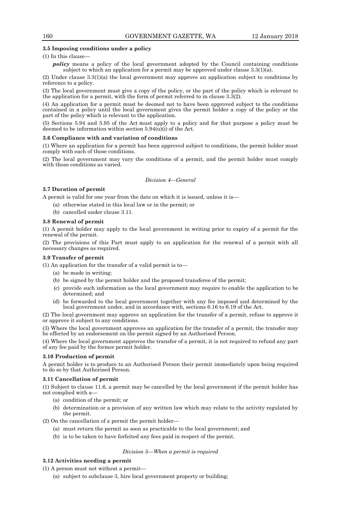#### **3.5 Imposing conditions under a policy**

 $(1)$  In this clause-

*policy* means a policy of the local government adopted by the Council containing conditions subject to which an application for a permit may be approved under clause 3.3(1)(a).

(2) Under clause 3.3(1)(a) the local government may approve an application subject to conditions by reference to a policy.

(3) The local government must give a copy of the policy, or the part of the policy which is relevant to the application for a permit, with the form of permit referred to in clause 3.3(2).

(4) An application for a permit must be deemed not to have been approved subject to the conditions contained in a policy until the local government gives the permit holder a copy of the policy or the part of the policy which is relevant to the application.

(5) Sections 5.94 and 5.95 of the Act must apply to a policy and for that purpose a policy must be deemed to be information within section  $5.94(\hat{u})(i)$  of the Act.

#### **3.6 Compliance with and variation of conditions**

(1) Where an application for a permit has been approved subject to conditions, the permit holder must comply with each of those conditions.

(2) The local government may vary the conditions of a permit, and the permit holder must comply with those conditions as varied.

*Division 4—General*

# **3.7 Duration of permit**

A permit is valid for one year from the date on which it is issued, unless it is—

- (a) otherwise stated in this local law or in the permit; or
- (b) cancelled under clause 3.11.

### **3.8 Renewal of permit**

(1) A permit holder may apply to the local government in writing prior to expiry of a permit for the renewal of the permit.

(2) The provisions of this Part must apply to an application for the renewal of a permit with all necessary changes as required.

# **3.9 Transfer of permit**

(1) An application for the transfer of a valid permit is to—

- (a) be made in writing;
- (b) be signed by the permit holder and the proposed transferee of the permit;
- (c) provide such information as the local government may require to enable the application to be determined; and
- (d) be forwarded to the local government together with any fee imposed and determined by the local government under, and in accordance with, sections 6.16 to 6.19 of the Act.

(2) The local government may approve an application for the transfer of a permit, refuse to approve it or approve it subject to any conditions.

(3) Where the local government approves an application for the transfer of a permit, the transfer may be effected by an endorsement on the permit signed by an Authorised Person.

(4) Where the local government approves the transfer of a permit, it is not required to refund any part of any fee paid by the former permit holder.

#### **3.10 Production of permit**

A permit holder is to produce to an Authorised Person their permit immediately upon being required to do so by that Authorised Person.

#### **3.11 Cancellation of permit**

(1) Subject to clause 11.6, a permit may be cancelled by the local government if the permit holder has not complied with a—

- (a) condition of the permit; or
- (b) determination or a provision of any written law which may relate to the activity regulated by the permit.

(2) On the cancellation of a permit the permit holder—

- (a) must return the permit as soon as practicable to the local government; and
- (b) is to be taken to have forfeited any fees paid in respect of the permit.

#### *Division 5—When a permit is required*

# **3.12 Activities needing a permit**

(1) A person must not without a permit—

(a) subject to subclause 3, hire local government property or building;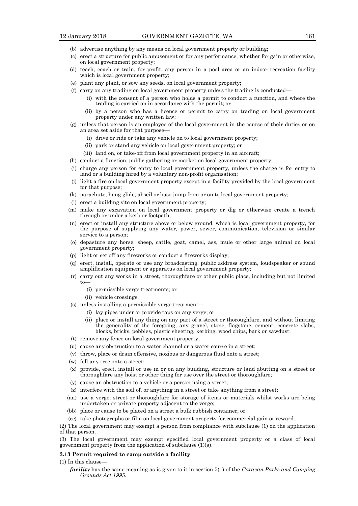- (b) advertise anything by any means on local government property or building;
- (c) erect a structure for public amusement or for any performance, whether for gain or otherwise, on local government property;
- (d) teach, coach or train, for profit, any person in a pool area or an indoor recreation facility which is local government property;
- (e) plant any plant, or sow any seeds, on local government property;
- (f) carry on any trading on local government property unless the trading is conducted—
	- (i) with the consent of a person who holds a permit to conduct a function, and where the trading is carried on in accordance with the permit; or
	- (ii) by a person who has a licence or permit to carry on trading on local government property under any written law;
- (g) unless that person is an employee of the local government in the course of their duties or on an area set aside for that purpose—
	- (i) drive or ride or take any vehicle on to local government property;
	- (ii) park or stand any vehicle on local government property; or
	- (iii) land on, or take-off from local government property in an aircraft;
- (h) conduct a function, public gathering or market on local government property;
- (i) charge any person for entry to local government property, unless the charge is for entry to land or a building hired by a voluntary non-profit organisation;
- (j) light a fire on local government property except in a facility provided by the local government for that purpose;
- (k) parachute, hang glide, abseil or base jump from or on to local government property;
- (l) erect a building site on local government property;
- (m) make any excavation on local government property or dig or otherwise create a trench through or under a kerb or footpath;
- (n) erect or install any structure above or below ground, which is local government property, for the purpose of supplying any water, power, sewer, communication, television or similar service to a person;
- (o) depasture any horse, sheep, cattle, goat, camel, ass, mule or other large animal on local government property;
- (p) light or set off any fireworks or conduct a fireworks display;
- (q) erect, install, operate or use any broadcasting. public address system, loudspeaker or sound amplification equipment or apparatus on local government property;
- (r) carry out any works in a street, thoroughfare or other public place, including but not limited  $t_0$ 
	- (i) permissible verge treatments; or
	- (ii) vehicle crossings;
- (s) unless installing a permissible verge treatment—
	- (i) lay pipes under or provide taps on any verge; or
	- (ii) place or install any thing on any part of a street or thoroughfare, and without limiting the generality of the foregoing, any gravel, stone, flagstone, cement, concrete slabs, blocks, bricks, pebbles, plastic sheeting, kerbing, wood chips, bark or sawdust;
- (t) remove any fence on local government property;
- (u) cause any obstruction to a water channel or a water course in a street;
- (v) throw, place or drain offensive, noxious or dangerous fluid onto a street;
- (w) fell any tree onto a street;
- (x) provide, erect, install or use in or on any building, structure or land abutting on a street or thoroughfare any hoist or other thing for use over the street or thoroughfare;
- (y) cause an obstruction to a vehicle or a person using a street;
- (z) interfere with the soil of, or anything in a street or take anything from a street;
- (aa) use a verge, street or thoroughfare for storage of items or materials whilst works are being undertaken on private property adjacent to the verge;
- (bb) place or cause to be placed on a street a bulk rubbish container; or
- (cc) take photographs or film on local government property for commercial gain or reward.

(2) The local government may exempt a person from compliance with subclause (1) on the application of that person.

(3) The local government may exempt specified local government property or a class of local government property from the application of subclause (1)(a).

#### **3.13 Permit required to camp outside a facility**

 $(1)$  In this clause

*facility* has the same meaning as is given to it in section 5(1) of the *Caravan Parks and Camping Grounds Act 1995*.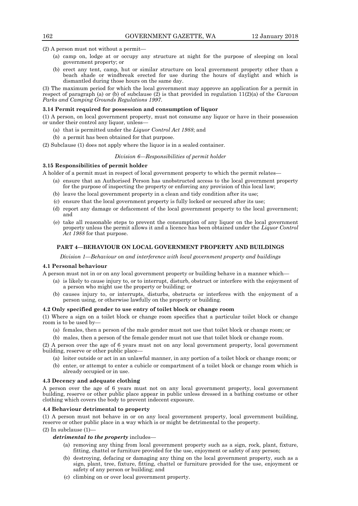(2) A person must not without a permit—

- (a) camp on, lodge at or occupy any structure at night for the purpose of sleeping on local government property; or
- (b) erect any tent, camp, hut or similar structure on local government property other than a beach shade or windbreak erected for use during the hours of daylight and which is dismantled during those hours on the same day.

(3) The maximum period for which the local government may approve an application for a permit in respect of paragraph (a) or (b) of subclause (2) is that provided in regulation 11(2)(a) of the *Caravan Parks and Camping Grounds Regulations 1997*.

#### **3.14 Permit required for possession and consumption of liquor**

(1) A person, on local government property, must not consume any liquor or have in their possession or under their control any liquor, unless—

- (a) that is permitted under the *Liquor Control Act 1988*; and
- (b) a permit has been obtained for that purpose.

(2) Subclause (1) does not apply where the liquor is in a sealed container.

#### *Division 6—Responsibilities of permit holder*

#### **3.15 Responsibilities of permit holder**

A holder of a permit must in respect of local government property to which the permit relates—

- (a) ensure that an Authorised Person has unobstructed access to the local government property for the purpose of inspecting the property or enforcing any provision of this local law;
- (b) leave the local government property in a clean and tidy condition after its use;
- (c) ensure that the local government property is fully locked or secured after its use;
- (d) report any damage or defacement of the local government property to the local government; and
- (e) take all reasonable steps to prevent the consumption of any liquor on the local government property unless the permit allows it and a licence has been obtained under the *Liquor Control Act 1988* for that purpose.

#### **PART 4—BEHAVIOUR ON LOCAL GOVERNMENT PROPERTY AND BUILDINGS**

*Division 1—Behaviour on and interference with local government property and buildings*

#### **4.1 Personal behaviour**

A person must not in or on any local government property or building behave in a manner which—

- (a) is likely to cause injury to, or to interrupt, disturb, obstruct or interfere with the enjoyment of a person who might use the property or building; or
- (b) causes injury to, or interrupts, disturbs, obstructs or interferes with the enjoyment of a person using, or otherwise lawfully on the property or building.

#### **4.2 Only specified gender to use entry of toilet block or change room**

(1) Where a sign on a toilet block or change room specifies that a particular toilet block or change room is to be used by—

- (a) females, then a person of the male gender must not use that toilet block or change room; or
- (b) males, then a person of the female gender must not use that toilet block or change room.

(2) A person over the age of 6 years must not on any local government property, local government building, reserve or other public place—

- (a) loiter outside or act in an unlawful manner, in any portion of a toilet block or change room; or
- (b) enter, or attempt to enter a cubicle or compartment of a toilet block or change room which is already occupied or in use.

#### **4.3 Decency and adequate clothing**

A person over the age of 6 years must not on any local government property, local government building, reserve or other public place appear in public unless dressed in a bathing costume or other clothing which covers the body to prevent indecent exposure.

#### **4.4 Behaviour detrimental to property**

(1) A person must not behave in or on any local government property, local government building, reserve or other public place in a way which is or might be detrimental to the property.

 $(2)$  In subclause  $(1)$ -

# *detrimental to the property* includes—

- (a) removing any thing from local government property such as a sign, rock, plant, fixture, fitting, chattel or furniture provided for the use, enjoyment or safety of any person;
- (b) destroying, defacing or damaging any thing on the local government property, such as a sign, plant, tree, fixture, fitting, chattel or furniture provided for the use, enjoyment or safety of any person or building; and
- (c) climbing on or over local government property.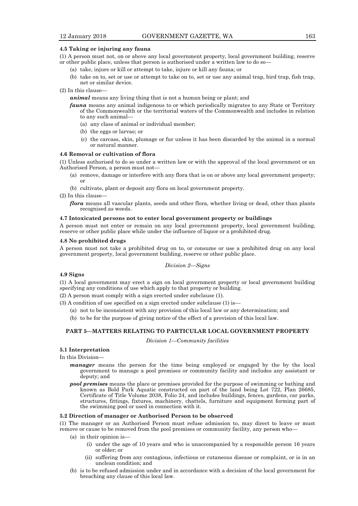# **4.5 Taking or injuring any fauna**

(1) A person must not, on or above any local government property, local government building, reserve or other public place, unless that person is authorised under a written law to do so—

- (a) take, injure or kill or attempt to take, injure or kill any fauna; or
- (b) take on to, set or use or attempt to take on to, set or use any animal trap, bird trap, fish trap, net or similar device.
- (2) In this clause—

*animal* means any living thing that is not a human being or plant; and

- *fauna* means any animal indigenous to or which periodically migrates to any State or Territory of the Commonwealth or the territorial waters of the Commonwealth and includes in relation to any such animal—
	- (a) any class of animal or individual member;
	- (b) the eggs or larvae; or
	- (c) the carcass, skin, plumage or fur unless it has been discarded by the animal in a normal or natural manner.

#### **4.6 Removal or cultivation of flora**

(1) Unless authorised to do so under a written law or with the approval of the local government or an Authorised Person, a person must not—

- (a) remove, damage or interfere with any flora that is on or above any local government property; or
- (b) cultivate, plant or deposit any flora on local government property.
- (2) In this clause

*flora* means all vascular plants, seeds and other flora, whether living or dead, other than plants recognised as weeds.

#### **4.7 Intoxicated persons not to enter local government property or buildings**

A person must not enter or remain on any local government property, local government building, reserve or other public place while under the influence of liquor or a prohibited drug.

#### **4.8 No prohibited drugs**

A person must not take a prohibited drug on to, or consume or use a prohibited drug on any local government property, local government building, reserve or other public place.

### *Division 2—Signs*

# **4.9 Signs**

(1) A local government may erect a sign on local government property or local government building specifying any conditions of use which apply to that property or building.

(2) A person must comply with a sign erected under subclause (1).

- (3) A condition of use specified on a sign erected under subclause (1) is—
	- (a) not to be inconsistent with any provision of this local law or any determination; and
	- (b) to be for the purpose of giving notice of the effect of a provision of this local law.

#### **PART 5—MATTERS RELATING TO PARTICULAR LOCAL GOVERNMENT PROPERTY**

*Division 1—Community facilities*

#### **5.1 Interpretation**

In this Division—

- *manager* means the person for the time being employed or engaged by the by the local government to manage a pool premises or community facility and includes any assistant or deputy; and
- *pool premises* means the place or premises provided for the purpose of swimming or bathing and known as Bold Park Aquatic constructed on part of the land being Lot 722, Plan 26685, Certificate of Title Volume 2038, Folio 24, and includes buildings, fences, gardens, car parks, structures, fittings, fixtures, machinery, chattels, furniture and equipment forming part of the swimming pool or used in connection with it.

#### **5.2 Direction of manager or Authorised Person to be observed**

(1) The manager or an Authorised Person must refuse admission to, may direct to leave or must remove or cause to be removed from the pool premises or community facility, any person who—

- $(a)$  in their opinion is
	- (i) under the age of 10 years and who is unaccompanied by a responsible person 16 years or older; or
	- (ii) suffering from any contagious, infectious or cutaneous disease or complaint, or is in an unclean condition; and
- (b) is to be refused admission under and in accordance with a decision of the local government for breaching any clause of this local law.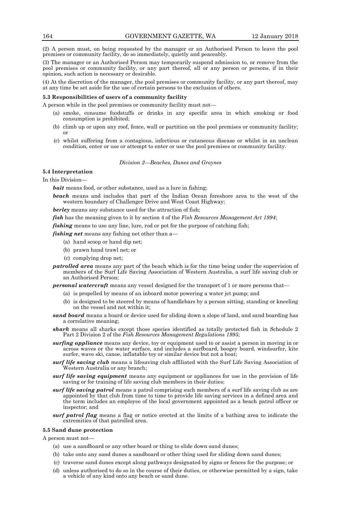(2) A person must, on being requested by the manager or an Authorised Person to leave the pool premises or community facility, do so immediately, quietly and peaceably.

(3) The manager or an Authorised Person may temporarily suspend admission to, or remove from the pool premises or community facility, or any part thereof, all or any person or persons, if in their opinion, such action is necessary or desirable.

(4) At the discretion of the manager, the pool premises or community facility, or any part thereof, may at any time be set aside for the use of certain persons to the exclusion of others.

#### **5.3 Responsibilities of users of a community facility**

A person while in the pool premises or community facility must not—

- (a) smoke, consume foodstuffs or drinks in any specific area in which smoking or food consumption is prohibited;
- (b) climb up or upon any roof, fence, wall or partition on the pool premises or community facility; or
- (c) whilst suffering from a contagious, infectious or cutaneous disease or whilst in an unclean condition, enter or use or attempt to enter or use the pool premises or community facility.

#### *Division 2—Beaches, Dunes and Groynes*

# **5.4 Interpretation**

In this Division—

**bait** means food, or other substance, used as a lure in fishing;

*beach* means and includes that part of the Indian Ocean foreshore area to the west of the western boundary of Challenger Drive and West Coast Highway;

*berley* means any substance used for the attraction of fish;

*fish* has the meaning given to it by section 4 of the *Fish Resources Management Act 1994*;

*fishing* means to use any line, lure, rod or pot for the purpose of catching fish;

*fishing net* means any fishing net other than a—

- (a) hand scoop or hand dip net;
- (b) prawn hand trawl net; or
- (c) complying drop net;
- *patrolled area* means any part of the beach which is for the time being under the supervision of members of the Surf Life Saving Association of Western Australia, a surf life saving club or an Authorised Person;

*personal watercraft* means any vessel designed for the transport of 1 or more persons that—

- (a) is propelled by means of an inboard motor powering a water jet pump; and
- (b) is designed to be steered by means of handlebars by a person sitting, standing or kneeling on the vessel and not within it;
- *sand board* means a board or device used for sliding down a slope of land, and sand boarding has a correlative meaning;
- *shark* means all sharks except those species identified as totally protected fish in Schedule 2 Part 2 Division 2 of the *Fish Resources Management Regulations 1995*;
- *surfing appliance* means any device, toy or equipment used to or assist a person in moving in or across waves or the water surface, and includes a surfboard, boogey board, windsurfer, kite surfer, wave ski, canoe, inflatable toy or similar device but not a boat;
- *surf life saving club* means a lifesaving club affiliated with the Surf Life Saving Association of Western Australia or any branch;
- *surf life saving equipment* means any equipment or appliances for use in the provision of life saving or for training of life saving club members in their duties;
- *surf life saving patrol* means a patrol comprising such members of a surf life saving club as are appointed by that club from time to time to provide life saving services in a defined area and the term includes an employee of the local government appointed as a beach patrol officer or inspector; and
- *surf patrol flag* means a flag or notice erected at the limits of a bathing area to indicate the extremities of that patrolled area.

#### **5.5 Sand dune protection**

A person must not—

- (a) use a sandboard or any other board or thing to slide down sand dunes;
- (b) take onto any sand dunes a sandboard or other thing used for sliding down sand dunes;
- (c) traverse sand dunes except along pathways designated by signs or fences for the purpose; or
- (d) unless authorised to do so in the course of their duties, or otherwise permitted by a sign, take a vehicle of any kind onto any beach or sand dune.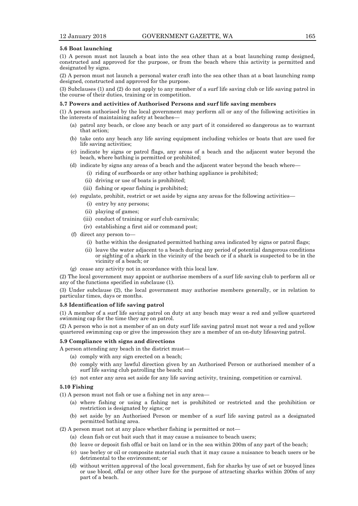#### **5.6 Boat launching**

(1) A person must not launch a boat into the sea other than at a boat launching ramp designed, constructed and approved for the purpose, or from the beach where this activity is permitted and designated by signs.

(2) A person must not launch a personal water craft into the sea other than at a boat launching ramp designed, constructed and approved for the purpose.

(3) Subclauses (1) and (2) do not apply to any member of a surf life saving club or life saving patrol in the course of their duties, training or in competition.

#### **5.7 Powers and activities of Authorised Persons and surf life saving members**

(1) A person authorised by the local government may perform all or any of the following activities in the interests of maintaining safety at beaches—

- (a) patrol any beach, or close any beach or any part of it considered so dangerous as to warrant that action;
- (b) take onto any beach any life saving equipment including vehicles or boats that are used for life saving activities;
- (c) indicate by signs or patrol flags, any areas of a beach and the adjacent water beyond the beach, where bathing is permitted or prohibited;
- (d) indicate by signs any areas of a beach and the adjacent water beyond the beach where—
	- (i) riding of surfboards or any other bathing appliance is prohibited;
	- (ii) driving or use of boats is prohibited;
	- (iii) fishing or spear fishing is prohibited;
- (e) regulate, prohibit, restrict or set aside by signs any areas for the following activities—
	- (i) entry by any persons;
	- (ii) playing of games;
	- (iii) conduct of training or surf club carnivals;
	- (iv) establishing a first aid or command post;
- (f) direct any person to—
	- (i) bathe within the designated permitted bathing area indicated by signs or patrol flags;
	- (ii) leave the water adjacent to a beach during any period of potential dangerous conditions or sighting of a shark in the vicinity of the beach or if a shark is suspected to be in the vicinity of a beach; or
- (g) cease any activity not in accordance with this local law.

(2) The local government may appoint or authorise members of a surf life saving club to perform all or any of the functions specified in subclause (1).

(3) Under subclause (2), the local government may authorise members generally, or in relation to particular times, days or months.

#### **5.8 Identification of life saving patrol**

(1) A member of a surf life saving patrol on duty at any beach may wear a red and yellow quartered swimming cap for the time they are on patrol.

(2) A person who is not a member of an on duty surf life saving patrol must not wear a red and yellow quartered swimming cap or give the impression they are a member of an on-duty lifesaving patrol.

#### **5.9 Compliance with signs and directions**

A person attending any beach in the district must—

- (a) comply with any sign erected on a beach;
- (b) comply with any lawful direction given by an Authorised Person or authorised member of a surf life saving club patrolling the beach; and
- (c) not enter any area set aside for any life saving activity, training, competition or carnival.

#### **5.10 Fishing**

(1) A person must not fish or use a fishing net in any area—

- (a) where fishing or using a fishing net is prohibited or restricted and the prohibition or restriction is designated by signs; or
- (b) set aside by an Authorised Person or member of a surf life saving patrol as a designated permitted bathing area.
- (2) A person must not at any place whether fishing is permitted or not—
	- (a) clean fish or cut bait such that it may cause a nuisance to beach users;
	- (b) leave or deposit fish offal or bait on land or in the sea within 200m of any part of the beach;
	- (c) use berley or oil or composite material such that it may cause a nuisance to beach users or be detrimental to the environment; or
	- (d) without written approval of the local government, fish for sharks by use of set or buoyed lines or use blood, offal or any other lure for the purpose of attracting sharks within 200m of any part of a beach.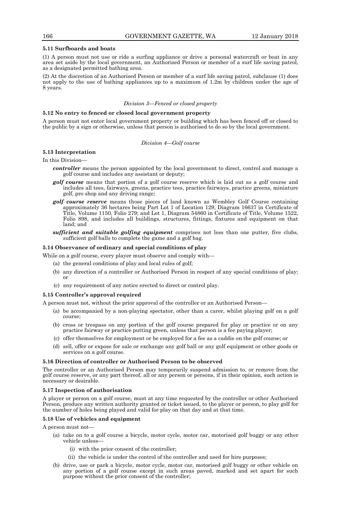#### **5.11 Surfboards and boats**

(1) A person must not use or ride a surfing appliance or drive a personal watercraft or boat in any area set aside by the local government, an Authorised Person or member of a surf life saving patrol, as a designated permitted bathing area.

(2) At the discretion of an Authorised Person or member of a surf life saving patrol, subclause (1) does not apply to the use of bathing appliances up to a maximum of 1.2m by children under the age of 8 years.

#### *Division 3—Fenced or closed property*

#### **5.12 No entry to fenced or closed local government property**

A person must not enter local government property or building which has been fenced off or closed to the public by a sign or otherwise, unless that person is authorised to do so by the local government.

#### *Division 4—Golf course*

#### **5.13 Interpretation**

In this Division—

- *controller* means the person appointed by the local government to direct, control and manage a golf course and includes any assistant or deputy;
- *golf course* means that portion of a golf course reserve which is laid out as a golf course and includes all tees, fairways, greens, practice tees, practice fairways, practice greens, miniature golf, pro shop and any driving range;
- *golf course reserve* means those pieces of land known as Wembley Golf Course containing approximately 36 hectares being Part Lot 1 of Location 129, Diagram 16637 in Certificate of Title, Volume 1150, Folio 279; and Lot 1, Diagram 54860 in Certificate of Title, Volume 1522, Folio 898, and includes all buildings, structures, fittings, fixtures and equipment on that land; and
- *sufficient and suitable golfing equipment* comprises not less than one putter, five clubs, sufficient golf balls to complete the game and a golf bag.

#### **5.14 Observance of ordinary and special conditions of play**

While on a golf course, every player must observe and comply with—

- (a) the general conditions of play and local rules of golf;
- (b) any direction of a controller or Authorised Person in respect of any special conditions of play; or
- (c) any requirement of any notice erected to direct or control play.

#### **5.15 Controller's approval required**

A person must not, without the prior approval of the controller or an Authorised Person—

- (a) be accompanied by a non-playing spectator, other than a carer, whilst playing golf on a golf course;
- (b) cross or trespass on any portion of the golf course prepared for play or practice or on any practice fairway or practice putting green, unless that person is a fee paying player;
- (c) offer themselves for employment or be employed for a fee as a caddie on the golf course; or
- (d) sell, offer or expose for sale or exchange any golf ball or any golf equipment or other goods or services on a golf course.

#### **5.16 Direction of controller or Authorised Person to be observed**

The controller or an Authorised Person may temporarily suspend admission to, or remove from the golf course reserve, or any part thereof, all or any person or persons, if in their opinion, such action is necessary or desirable.

### **5.17 Inspection of authorisation**

A player or person on a golf course, must at any time requested by the controller or other Authorised Person, produce any written authority granted or ticket issued, to the player or person, to play golf for the number of holes being played and valid for play on that day and at that time.

#### **5.18 Use of vehicles and equipment**

A person must not—

- (a) take on to a golf course a bicycle, motor cycle, motor car, motorised golf buggy or any other vehicle unless—
	- (i) with the prior consent of the controller;
	- (ii) the vehicle is under the control of the controller and used for hire purposes;
- (b) drive, use or park a bicycle, motor cycle, motor car, motorised golf buggy or other vehicle on any portion of a golf course except in such areas paved, marked and set apart for such purpose without the prior consent of the controller;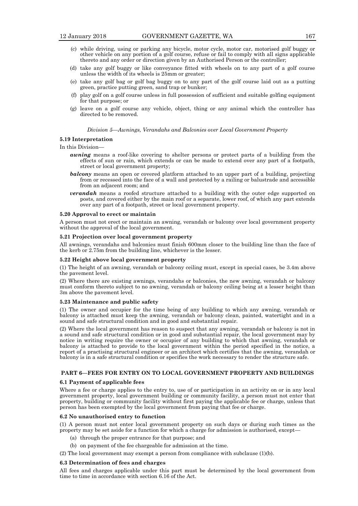- (c) while driving, using or parking any bicycle, motor cycle, motor car, motorised golf buggy or other vehicle on any portion of a golf course, refuse or fail to comply with all signs applicable thereto and any order or direction given by an Authorised Person or the controller;
- (d) take any golf buggy or like conveyance fitted with wheels on to any part of a golf course unless the width of its wheels is 25mm or greater;
- (e) take any golf bag or golf bag buggy on to any part of the golf course laid out as a putting green, practice putting green, sand trap or bunker;
- (f) play golf on a golf course unless in full possession of sufficient and suitable golfing equipment for that purpose; or
- (g) leave on a golf course any vehicle, object, thing or any animal which the controller has directed to be removed.

#### *Division 5—Awnings, Verandahs and Balconies over Local Government Property*

#### **5.19 Interpretation**

In this Division—

- *awning* means a roof-like covering to shelter persons or protect parts of a building from the effects of sun or rain, which extends or can be made to extend over any part of a footpath, street or local government property;
- *balcony* means an open or covered platform attached to an upper part of a building, projecting from or recessed into the face of a wall and protected by a railing or balustrade and accessible from an adjacent room; and
- *verandah* means a roofed structure attached to a building with the outer edge supported on posts, and covered either by the main roof or a separate, lower roof, of which any part extends over any part of a footpath, street or local government property.

#### **5.20 Approval to erect or maintain**

A person must not erect or maintain an awning, verandah or balcony over local government property without the approval of the local government.

#### **5.21 Projection over local government property**

All awnings, verandahs and balconies must finish 600mm closer to the building line than the face of the kerb or 2.75m from the building line, whichever is the lesser.

### **5.22 Height above local government property**

(1) The height of an awning, verandah or balcony ceiling must, except in special cases, be 3.4m above the pavement level.

(2) Where there are existing awnings, verandahs or balconies, the new awning, verandah or balcony must conform thereto subject to no awning, verandah or balcony ceiling being at a lesser height than 3m above the pavement level.

#### **5.23 Maintenance and public safety**

(1) The owner and occupier for the time being of any building to which any awning, verandah or balcony is attached must keep the awning, verandah or balcony clean, painted, watertight and in a sound and safe structural condition and in good and substantial repair.

(2) Where the local government has reason to suspect that any awning, verandah or balcony is not in a sound and safe structural condition or in good and substantial repair, the local government may by notice in writing require the owner or occupier of any building to which that awning, verandah or balcony is attached to provide to the local government within the period specified in the notice, a report of a practising structural engineer or an architect which certifies that the awning, verandah or balcony is in a safe structural condition or specifies the work necessary to render the structure safe.

### **PART 6—FEES FOR ENTRY ON TO LOCAL GOVERNMENT PROPERTY AND BUILDINGS**

#### **6.1 Payment of applicable fees**

Where a fee or charge applies to the entry to, use of or participation in an activity on or in any local government property, local government building or community facility, a person must not enter that property, building or community facility without first paying the applicable fee or charge, unless that person has been exempted by the local government from paying that fee or charge.

#### **6.2 No unauthorised entry to function**

(1) A person must not enter local government property on such days or during such times as the property may be set aside for a function for which a charge for admission is authorised, except—

- (a) through the proper entrance for that purpose; and
- (b) on payment of the fee chargeable for admission at the time.
- (2) The local government may exempt a person from compliance with subclause (1)(b).

#### **6.3 Determination of fees and charges**

All fees and charges applicable under this part must be determined by the local government from time to time in accordance with section 6.16 of the Act.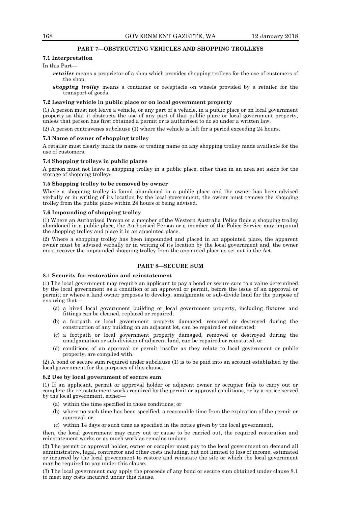#### **PART 7—OBSTRUCTING VEHICLES AND SHOPPING TROLLEYS**

# **7.1 Interpretation**

In this Part—

- *retailer* means a proprietor of a shop which provides shopping trolleys for the use of customers of the shop;
- *shopping trolley* means a container or receptacle on wheels provided by a retailer for the transport of goods.

#### **7.2 Leaving vehicle in public place or on local government property**

(1) A person must not leave a vehicle, or any part of a vehicle, in a public place or on local government property so that it obstructs the use of any part of that public place or local government property, unless that person has first obtained a permit or is authorised to do so under a written law.

(2) A person contravenes subclause (1) where the vehicle is left for a period exceeding 24 hours.

#### **7.3 Name of owner of shopping trolley**

A retailer must clearly mark its name or trading name on any shopping trolley made available for the use of customers.

#### **7.4 Shopping trolleys in public places**

A person must not leave a shopping trolley in a public place, other than in an area set aside for the storage of shopping trolleys.

#### **7.5 Shopping trolley to be removed by owner**

Where a shopping trolley is found abandoned in a public place and the owner has been advised verbally or in writing of its location by the local government, the owner must remove the shopping trolley from the public place within 24 hours of being advised.

# **7.6 Impounding of shopping trolley**

(1) Where an Authorised Person or a member of the Western Australia Police finds a shopping trolley abandoned in a public place, the Authorised Person or a member of the Police Service may impound the shopping trolley and place it in an appointed place.

(2) Where a shopping trolley has been impounded and placed in an appointed place, the apparent owner must be advised verbally or in writing of its location by the local government and, the owner must recover the impounded shopping trolley from the appointed place as set out in the Act.

#### **PART 8—SECURE SUM**

#### **8.1 Security for restoration and reinstatement**

(1) The local government may require an applicant to pay a bond or secure sum to a value determined by the local government as a condition of an approval or permit, before the issue of an approval or permit; or where a land owner proposes to develop, amalgamate or sub-divide land for the purpose of ensuring that—

- (a) a hired local government building or local government property, including fixtures and fittings can be cleaned, replaced or repaired;
- (b) a footpath or local government property damaged, removed or destroyed during the construction of any building on an adjacent lot, can be repaired or reinstated;
- (c) a footpath or local government property damaged, removed or destroyed during the amalgamation or sub-division of adjacent land, can be repaired or reinstated; or
- (d) conditions of an approval or permit insofar as they relate to local government or public property, are complied with.

(2) A bond or secure sum required under subclause (1) is to be paid into an account established by the local government for the purposes of this clause.

#### **8.2 Use by local government of secure sum**

(1) If an applicant, permit or approval holder or adjacent owner or occupier fails to carry out or complete the reinstatement works required by the permit or approval conditions, or by a notice served by the local government, either—

- (a) within the time specified in those conditions; or
- (b) where no such time has been specified, a reasonable time from the expiration of the permit or approval; or
- (c) within 14 days or such time as specified in the notice given by the local government,

then, the local government may carry out or cause to be carried out, the required restoration and reinstatement works or as much work as remains undone.

(2) The permit or approval holder, owner or occupier must pay to the local government on demand all administrative, legal, contractor and other costs including, but not limited to loss of income, estimated or incurred by the local government to restore and reinstate the site or which the local government may be required to pay under this clause.

(3) The local government may apply the proceeds of any bond or secure sum obtained under clause 8.1 to meet any costs incurred under this clause.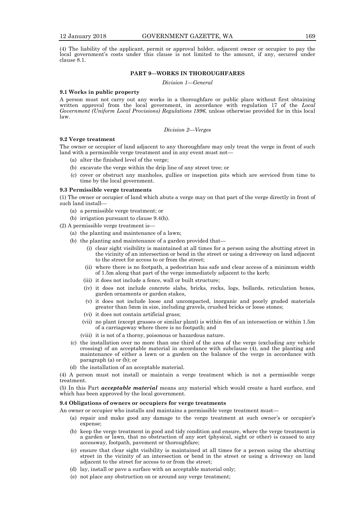(4) The liability of the applicant, permit or approval holder, adjacent owner or occupier to pay the local government's costs under this clause is not limited to the amount, if any, secured under clause 8.1.

#### **PART 9—WORKS IN THOROUGHFARES**

*Division 1—General*

#### **9.1 Works in public property**

A person must not carry out any works in a thoroughfare or public place without first obtaining written approval from the local government, in accordance with regulation 17 of the *Local Government (Uniform Local Provisions) Regulations 1996*, unless otherwise provided for in this local law.

#### *Division 2—Verges*

#### **9.2 Verge treatment**

The owner or occupier of land adjacent to any thoroughfare may only treat the verge in front of such land with a permissible verge treatment and in any event must not—

- (a) alter the finished level of the verge;
- (b) excavate the verge within the drip line of any street tree; or
- (c) cover or obstruct any manholes, gullies or inspection pits which are serviced from time to time by the local government.

#### **9.3 Permissible verge treatments**

(1) The owner or occupier of land which abuts a verge may on that part of the verge directly in front of such land install—

- (a) a permissible verge treatment; or
- (b) irrigation pursuant to clause 9.4(h).

(2) A permissible verge treatment is—

- (a) the planting and maintenance of a lawn;
- (b) the planting and maintenance of a garden provided that—
	- (i) clear sight visibility is maintained at all times for a person using the abutting street in the vicinity of an intersection or bend in the street or using a driveway on land adjacent to the street for access to or from the street;
	- (ii) where there is no footpath, a pedestrian has safe and clear access of a minimum width of 1.5m along that part of the verge immediately adjacent to the kerb;
	- (iii) it does not include a fence, wall or built structure;
	- (iv) it does not include concrete slabs, bricks, rocks, logs, bollards, reticulation boxes, garden ornaments or garden stakes,
	- (v) it does not include loose and uncompacted, inorganic and poorly graded materials greater than 5mm in size, including gravels, crushed bricks or loose stones;
	- (vi) it does not contain artificial grass;
	- (vii) no plant (except grasses or similar plant) is within 6m of an intersection or within 1.5m of a carriageway where there is no footpath; and
	- (viii) it is not of a thorny, poisonous or hazardous nature.
- (c) the installation over no more than one third of the area of the verge (excluding any vehicle crossing) of an acceptable material in accordance with subclause (4), and the planting and maintenance of either a lawn or a garden on the balance of the verge in accordance with paragraph (a) or (b); or
- (d) the installation of an acceptable material.

(4) A person must not install or maintain a verge treatment which is not a permissible verge treatment.

(5) In this Part *acceptable material* means any material which would create a hard surface, and which has been approved by the local government.

### **9.4 Obligations of owners or occupiers for verge treatments**

An owner or occupier who installs and maintains a permissible verge treatment must—

- (a) repair and make good any damage to the verge treatment at such owner's or occupier's expense;
- (b) keep the verge treatment in good and tidy condition and ensure, where the verge treatment is a garden or lawn, that no obstruction of any sort (physical, sight or other) is caused to any accessway, footpath, pavement or thoroughfare;
- (c) ensure that clear sight visibility is maintained at all times for a person using the abutting street in the vicinity of an intersection or bend in the street or using a driveway on land adjacent to the street for access to or from the street;
- (d) lay, install or pave a surface with an acceptable material only;
- (e) not place any obstruction on or around any verge treatment;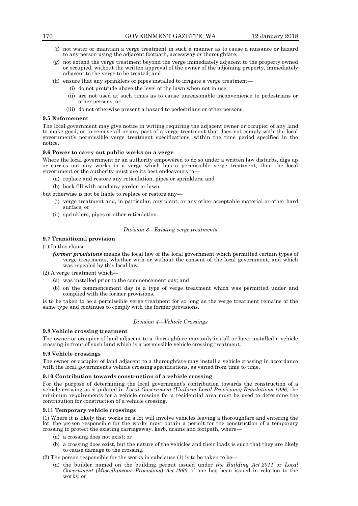- (f) not water or maintain a verge treatment in such a manner as to cause a nuisance or hazard to any person using the adjacent footpath, accessway or thoroughfare;
- (g) not extend the verge treatment beyond the verge immediately adjacent to the property owned or occupied, without the written approval of the owner of the adjoining property, immediately adjacent to the verge to be treated; and
- (h) ensure that any sprinklers or pipes installed to irrigate a verge treatment—
	- (i) do not protrude above the level of the lawn when not in use;
	- (ii) are not used at such times as to cause unreasonable inconvenience to pedestrians or other persons; or
	- (iii) do not otherwise present a hazard to pedestrians or other persons.

#### **9.5 Enforcement**

The local government may give notice in writing requiring the adjacent owner or occupier of any land to make good, or to remove all or any part of a verge treatment that does not comply with the local government's permissible verge treatment specifications, within the time period specified in the notice.

#### **9.6 Power to carry out public works on a verge**

Where the local government or an authority empowered to do so under a written law disturbs, digs up or carries out any works in a verge which has a permissible verge treatment, then the local government or the authority must use its best endeavours to—

- (a) replace and restore any reticulation, pipes or sprinklers; and
- (b) back fill with sand any garden or lawn,

but otherwise is not be liable to replace or restore any—

- (i) verge treatment and, in particular, any plant, or any other acceptable material or other hard surface; or
- (ii) sprinklers, pipes or other reticulation.

#### *Division 3—Existing verge treatments*

#### **9.7 Transitional provision**

(1) In this clause—

*former provisions* means the local law of the local government which permitted certain types of verge treatments, whether with or without the consent of the local government, and which was repealed by this local law.

(2) A verge treatment which—

- (a) was installed prior to the commencement day; and
- (b) on the commencement day is a type of verge treatment which was permitted under and complied with the former provisions,

is to be taken to be a permissible verge treatment for so long as the verge treatment remains of the same type and continues to comply with the former provisions.

#### *Division 4—Vehicle Crossings*

#### **9.8 Vehicle crossing treatment**

The owner or occupier of land adjacent to a thoroughfare may only install or have installed a vehicle crossing in front of such land which is a permissible vehicle crossing treatment.

#### **9.9 Vehicle crossings**

The owner or occupier of land adjacent to a thoroughfare may install a vehicle crossing in accordance with the local government's vehicle crossing specifications, as varied from time to time.

#### **9.10 Contribution towards construction of a vehicle crossing**

For the purpose of determining the local government's contribution towards the construction of a vehicle crossing as stipulated in *Local Government (Uniform Local Provisions) Regulations 1996*, the minimum requirements for a vehicle crossing for a residential area must be used to determine the contribution for construction of a vehicle crossing.

### **9.11 Temporary vehicle crossings**

(1) Where it is likely that works on a lot will involve vehicles leaving a thoroughfare and entering the lot, the person responsible for the works must obtain a permit for the construction of a temporary crossing to protect the existing carriageway, kerb, drains and footpath, where—

- (a) a crossing does not exist; or
- (b) a crossing does exist, but the nature of the vehicles and their loads is such that they are likely to cause damage to the crossing.

(2) The person responsible for the works in subclause  $(1)$  is to be taken to be-

(a) the builder named on the building permit issued under *the Building Act 2011* or *Local Government (Miscellaneous Provisions) Act 1960*, if one has been issued in relation to the works; or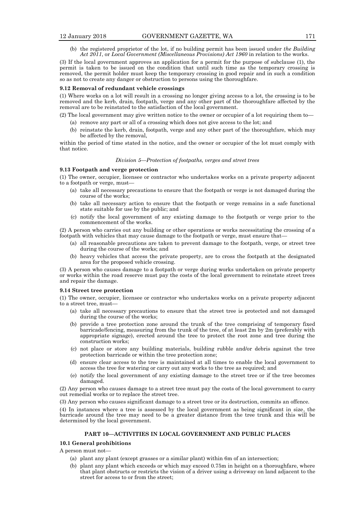(b) the registered proprietor of the lot, if no building permit has been issued under *the Building Act 2011*, or *Local Government (Miscellaneous Provisions) Act 1960* in relation to the works.

(3) If the local government approves an application for a permit for the purpose of subclause (1), the permit is taken to be issued on the condition that until such time as the temporary crossing is removed, the permit holder must keep the temporary crossing in good repair and in such a condition so as not to create any danger or obstruction to persons using the thoroughfare.

#### **9.12 Removal of redundant vehicle crossings**

(1) Where works on a lot will result in a crossing no longer giving access to a lot, the crossing is to be removed and the kerb, drain, footpath, verge and any other part of the thoroughfare affected by the removal are to be reinstated to the satisfaction of the local government.

- (2) The local government may give written notice to the owner or occupier of a lot requiring them to—
	- (a) remove any part or all of a crossing which does not give access to the lot; and
	- (b) reinstate the kerb, drain, footpath, verge and any other part of the thoroughfare, which may be affected by the removal,

within the period of time stated in the notice, and the owner or occupier of the lot must comply with that notice.

#### *Division 5—Protection of footpaths, verges and street trees*

#### **9.13 Footpath and verge protection**

(1) The owner, occupier, licensee or contractor who undertakes works on a private property adjacent to a footpath or verge, must—

- (a) take all necessary precautions to ensure that the footpath or verge is not damaged during the course of the works;
- (b) take all necessary action to ensure that the footpath or verge remains in a safe functional state suitable for use by the public; and
- (c) notify the local government of any existing damage to the footpath or verge prior to the commencement of the works.

(2) A person who carries out any building or other operations or works necessitating the crossing of a footpath with vehicles that may cause damage to the footpath or verge, must ensure that—

- (a) all reasonable precautions are taken to prevent damage to the footpath, verge, or street tree during the course of the works; and
- (b) heavy vehicles that access the private property, are to cross the footpath at the designated area for the proposed vehicle crossing.

(3) A person who causes damage to a footpath or verge during works undertaken on private property or works within the road reserve must pay the costs of the local government to reinstate street trees and repair the damage.

#### **9.14 Street tree protection**

(1) The owner, occupier, licensee or contractor who undertakes works on a private property adjacent to a street tree, must-

- (a) take all necessary precautions to ensure that the street tree is protected and not damaged during the course of the works;
- (b) provide a tree protection zone around the trunk of the tree comprising of temporary fixed barricade/fencing, measuring from the trunk of the tree, of at least 2m by 2m (preferably with appropriate signage), erected around the tree to protect the root zone and tree during the construction works;
- (c) not place or store any building materials, building rubble and/or debris against the tree protection barricade or within the tree protection zone;
- (d) ensure clear access to the tree is maintained at all times to enable the local government to access the tree for watering or carry out any works to the tree as required; and
- (e) notify the local government of any existing damage to the street tree or if the tree becomes damaged.

(2) Any person who causes damage to a street tree must pay the costs of the local government to carry out remedial works or to replace the street tree.

(3) Any person who causes significant damage to a street tree or its destruction, commits an offence.

(4) In instances where a tree is assessed by the local government as being significant in size, the barricade around the tree may need to be a greater distance from the tree trunk and this will be determined by the local government.

#### **PART 10—ACTIVITIES IN LOCAL GOVERNMENT AND PUBLIC PLACES**

#### **10.1 General prohibitions**

A person must not—

- (a) plant any plant (except grasses or a similar plant) within 6m of an intersection;
- (b) plant any plant which exceeds or which may exceed 0.75m in height on a thoroughfare, where that plant obstructs or restricts the vision of a driver using a driveway on land adjacent to the street for access to or from the street;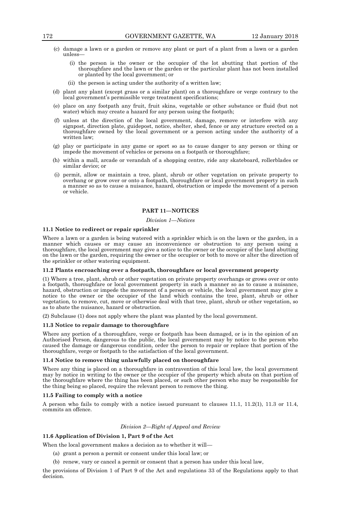- (c) damage a lawn or a garden or remove any plant or part of a plant from a lawn or a garden unless—
	- (i) the person is the owner or the occupier of the lot abutting that portion of the thoroughfare and the lawn or the garden or the particular plant has not been installed or planted by the local government; or
	- (ii) the person is acting under the authority of a written law;
- (d) plant any plant (except grass or a similar plant) on a thoroughfare or verge contrary to the local government's permissible verge treatment specifications;
- (e) place on any footpath any fruit, fruit skins, vegetable or other substance or fluid (but not water) which may create a hazard for any person using the footpath;
- (f) unless at the direction of the local government, damage, remove or interfere with any signpost, direction plate, guidepost, notice, shelter, shed, fence or any structure erected on a thoroughfare owned by the local government or a person acting under the authority of a written law;
- (g) play or participate in any game or sport so as to cause danger to any person or thing or impede the movement of vehicles or persons on a footpath or thoroughfare;
- (h) within a mall, arcade or verandah of a shopping centre, ride any skateboard, rollerblades or similar device; or
- (i) permit, allow or maintain a tree, plant, shrub or other vegetation on private property to overhang or grow over or onto a footpath, thoroughfare or local government property in such a manner so as to cause a nuisance, hazard, obstruction or impede the movement of a person or vehicle.

#### **PART 11—NOTICES**

#### *Division 1—Notices*

#### **11.1 Notice to redirect or repair sprinkler**

Where a lawn or a garden is being watered with a sprinkler which is on the lawn or the garden, in a manner which causes or may cause an inconvenience or obstruction to any person using a thoroughfare, the local government may give a notice to the owner or the occupier of the land abutting on the lawn or the garden, requiring the owner or the occupier or both to move or alter the direction of the sprinkler or other watering equipment.

#### **11.2 Plants encroaching over a footpath, thoroughfare or local government property**

(1) Where a tree, plant, shrub or other vegetation on private property overhangs or grows over or onto a footpath, thoroughfare or local government property in such a manner so as to cause a nuisance, hazard, obstruction or impede the movement of a person or vehicle, the local government may give a notice to the owner or the occupier of the land which contains the tree, plant, shrub or other vegetation, to remove, cut, move or otherwise deal with that tree, plant, shrub or other vegetation, so as to abate the nuisance, hazard or obstruction.

(2) Subclause (1) does not apply where the plant was planted by the local government.

#### **11.3 Notice to repair damage to thoroughfare**

Where any portion of a thoroughfare, verge or footpath has been damaged, or is in the opinion of an Authorised Person, dangerous to the public, the local government may by notice to the person who caused the damage or dangerous condition, order the person to repair or replace that portion of the thoroughfare, verge or footpath to the satisfaction of the local government.

#### **11.4 Notice to remove thing unlawfully placed on thoroughfare**

Where any thing is placed on a thoroughfare in contravention of this local law, the local government may by notice in writing to the owner or the occupier of the property which abuts on that portion of the thoroughfare where the thing has been placed, or such other person who may be responsible for the thing being so placed, require the relevant person to remove the thing.

#### **11.5 Failing to comply with a notice**

A person who fails to comply with a notice issued pursuant to clauses 11.1, 11.2(1), 11.3 or 11.4, commits an offence.

#### *Division 2—Right of Appeal and Review*

### **11.6 Application of Division 1, Part 9 of the Act**

When the local government makes a decision as to whether it will—

- (a) grant a person a permit or consent under this local law; or
- (b) renew, vary or cancel a permit or consent that a person has under this local law,

the provisions of Division 1 of Part 9 of the Act and regulations 33 of the Regulations apply to that decision.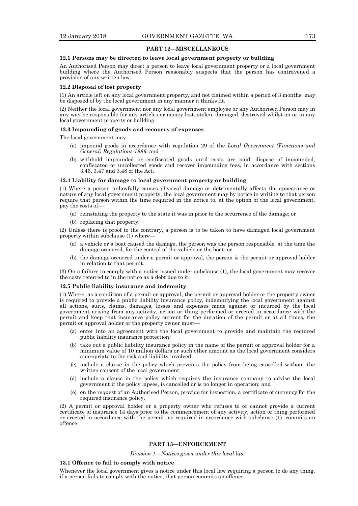#### **PART 12—MISCELLANEOUS**

#### **12.1 Persons may be directed to leave local government property or building**

An Authorised Person may direct a person to leave local government property or a local government building where the Authorised Person reasonably suspects that the person has contravened a provision of any written law.

#### **12.2 Disposal of lost property**

(1) An article left on any local government property, and not claimed within a period of 3 months, may be disposed of by the local government in any manner it thinks fit.

(2) Neither the local government nor any local government employee or any Authorised Person may in any way be responsible for any articles or money lost, stolen, damaged, destroyed whilst on or in any local government property or building.

#### **12.3 Impounding of goods and recovery of expenses**

The local government may-

- (a) impound goods in accordance with regulation 29 of the *Local Government (Functions and General) Regulations 1996*, and
- (b) withhold impounded or confiscated goods until costs are paid, dispose of impounded, confiscated or uncollected goods and recover impounding fees, in accordance with sections 3.46, 3.47 and 3.48 of the Act.

#### **12.4 Liability for damage to local government property or building**

(1) Where a person unlawfully causes physical damage or detrimentally affects the appearance or nature of any local government property, the local government may by notice in writing to that person require that person within the time required in the notice to, at the option of the local government, pay the costs of—

- (a) reinstating the property to the state it was in prior to the occurrence of the damage; or
- (b) replacing that property.

(2) Unless there is proof to the contrary, a person is to be taken to have damaged local government property within subclause (1) where—

- (a) a vehicle or a boat caused the damage, the person was the person responsible, at the time the damage occurred, for the control of the vehicle or the boat; or
- (b) the damage occurred under a permit or approval, the person is the permit or approval holder in relation to that permit.

(3) On a failure to comply with a notice issued under subclause (1), the local government may recover the costs referred to in the notice as a debt due to it.

#### **12.5 Public liability insurance and indemnity**

(1) Where, as a condition of a permit or approval, the permit or approval holder or the property owner is required to provide a public liability insurance policy, indemnifying the local government against all actions, suits, claims, damages, losses and expenses made against or incurred by the local government arising from any activity, action or thing performed or erected in accordance with the permit and keep that insurance policy current for the duration of the permit or at all times, the permit or approval holder or the property owner must—

- (a) enter into an agreement with the local government to provide and maintain the required public liability insurance protection;
- (b) take out a public liability insurance policy in the name of the permit or approval holder for a minimum value of 10 million dollars or such other amount as the local government considers appropriate to the risk and liability involved;
- (c) include a clause in the policy which prevents the policy from being cancelled without the written consent of the local government;
- (d) include a clause in the policy which requires the insurance company to advise the local government if the policy lapses, is cancelled or is no longer in operation; and
- (e) on the request of an Authorised Person, provide for inspection, a certificate of currency for the required insurance policy.

(2) A permit or approval holder or a property owner who refuses to or cannot provide a current certificate of insurance 14 days prior to the commencement of any activity, action or thing performed or erected in accordance with the permit, as required in accordance with subclause (1), commits an offence.

### **PART 13—ENFORCEMENT**

#### *Division 1—Notices given under this local law*

#### **13.1 Offence to fail to comply with notice**

Whenever the local government gives a notice under this local law requiring a person to do any thing, if a person fails to comply with the notice, that person commits an offence.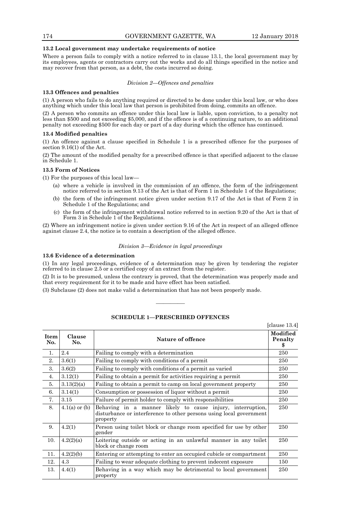#### **13.2 Local government may undertake requirements of notice**

Where a person fails to comply with a notice referred to in clause 13.1, the local government may by its employees, agents or contractors carry out the works and do all things specified in the notice and may recover from that person, as a debt, the costs incurred so doing.

# *Division 2—Offences and penalties*

#### **13.3 Offences and penalties**

(1) A person who fails to do anything required or directed to be done under this local law, or who does anything which under this local law that person is prohibited from doing, commits an offence.

(2) A person who commits an offence under this local law is liable, upon conviction, to a penalty not less than \$500 and not exceeding \$5,000, and if the offence is of a continuing nature, to an additional penalty not exceeding \$500 for each day or part of a day during which the offence has continued.

#### **13.4 Modified penalties**

(1) An offence against a clause specified in Schedule 1 is a prescribed offence for the purposes of section 9.16(1) of the Act.

(2) The amount of the modified penalty for a prescribed offence is that specified adjacent to the clause in Schedule 1.

# **13.5 Form of Notices**

(1) For the purposes of this local law—

- (a) where a vehicle is involved in the commission of an offence, the form of the infringement notice referred to in section 9.13 of the Act is that of Form 1 in Schedule 1 of the Regulations;
- (b) the form of the infringement notice given under section 9.17 of the Act is that of Form 2 in Schedule 1 of the Regulations; and
- (c) the form of the infringement withdrawal notice referred to in section 9.20 of the Act is that of Form 3 in Schedule 1 of the Regulations.

(2) Where an infringement notice is given under section 9.16 of the Act in respect of an alleged offence against clause 2.4, the notice is to contain a description of the alleged offence.

#### *Division 3—Evidence in legal proceedings*

#### **13.6 Evidence of a determination**

(1) In any legal proceedings, evidence of a determination may be given by tendering the register referred to in clause 2.5 or a certified copy of an extract from the register.

(2) It is to be presumed, unless the contrary is proved, that the determination was properly made and that every requirement for it to be made and have effect has been satisfied.

(3) Subclause (2) does not make valid a determination that has not been properly made.

|             |                      |                                                                                                                                               | [clause $13.4$ ]          |
|-------------|----------------------|-----------------------------------------------------------------------------------------------------------------------------------------------|---------------------------|
| Item<br>No. | <b>Clause</b><br>No. | Nature of offence                                                                                                                             | Modified<br>Penalty<br>\$ |
| 1.          | 2.4                  | Failing to comply with a determination                                                                                                        | 250                       |
| 2.          | 3.6(1)               | Failing to comply with conditions of a permit                                                                                                 | 250                       |
| 3.          | 3.6(2)               | Failing to comply with conditions of a permit as varied                                                                                       | 250                       |
| 4.          | 3.12(1)              | Failing to obtain a permit for activities requiring a permit                                                                                  | 250                       |
| 5.          | 3.13(2)(a)           | Failing to obtain a permit to camp on local government property                                                                               | 250                       |
| 6.          | 3.14(1)              | Consumption or possession of liquor without a permit                                                                                          | 250                       |
| 7.          | 3.15                 | Failure of permit holder to comply with responsibilities                                                                                      | 250                       |
| 8.          | $4.1(a)$ or $(b)$    | Behaving in a manner likely to cause injury, interruption,<br>disturbance or interference to other persons using local government<br>property | 250                       |
| 9.          | 4.2(1)               | Person using toilet block or change room specified for use by other<br>gender                                                                 | 250                       |
| 10.         | 4.2(2)(a)            | Loitering outside or acting in an unlawful manner in any toilet<br>block or change room                                                       | 250                       |
| 11.         | 4.2(2)(b)            | Entering or attempting to enter an occupied cubicle or compartment                                                                            | 250                       |
| 12.         | 4.3                  | Failing to wear adequate clothing to prevent indecent exposure                                                                                | 150                       |
| 13.         | 4.4(1)               | Behaving in a way which may be detrimental to local government<br>property                                                                    | 250                       |

# **SCHEDULE 1—PRESCRIBED OFFENCES**

————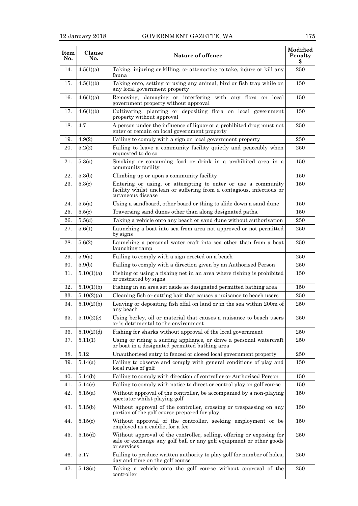| Item<br>No. | Clause<br>No. | Nature of offence                                                                                                                                           | Modified<br>Penalty<br>\$ |
|-------------|---------------|-------------------------------------------------------------------------------------------------------------------------------------------------------------|---------------------------|
| 14.         | 4.5(1)(a)     | Taking, injuring or killing, or attempting to take, injure or kill any<br>fauna                                                                             | 250                       |
| 15.         | 4.5(1)(b)     | Taking onto, setting or using any animal, bird or fish trap while on<br>any local government property                                                       | 150                       |
| 16.         | 4.6(1)(a)     | Removing, damaging or interfering with any flora on local<br>government property without approval                                                           | 150                       |
| 17.         | 4.6(1)(b)     | Cultivating, planting or depositing flora on local government<br>property without approval                                                                  | 150                       |
| 18.         | 4.7           | A person under the influence of liquor or a prohibited drug must not<br>enter or remain on local government property                                        | 250                       |
| 19.         | 4.9(2)        | Failing to comply with a sign on local government property                                                                                                  | 250                       |
| 20.         | 5.2(2)        | Failing to leave a community facility quietly and peaceably when<br>requested to do so                                                                      | 250                       |
| 21.         | 5.3(a)        | Smoking or consuming food or drink in a prohibited area in a<br>community facility                                                                          | 150                       |
| 22.         | 5.3(b)        | Climbing up or upon a community facility                                                                                                                    | 150                       |
| 23.         | 5.3(c)        | Entering or using, or attempting to enter or use a community<br>facility whilst unclean or suffering from a contagious, infectious or<br>cutaneous disease  | 150                       |
| 24.         | 5.5(a)        | Using a sandboard, other board or thing to slide down a sand dune                                                                                           | 150                       |
| 25.         | 5.5(c)        | Traversing sand dunes other than along designated paths.                                                                                                    | 150                       |
| 26.         | 5.5(d)        | Taking a vehicle onto any beach or sand dune without authorisation                                                                                          | 250                       |
| 27.         | 5.6(1)        | Launching a boat into sea from area not approved or not permitted<br>by signs                                                                               | 250                       |
| 28.         | 5.6(2)        | Launching a personal water craft into sea other than from a boat<br>launching ramp                                                                          | 250                       |
| 29.         | 5.9(a)        | Failing to comply with a sign erected on a beach                                                                                                            | 250                       |
| 30.         | 5.9(b)        | Failing to comply with a direction given by an Authorised Person                                                                                            | 250                       |
| 31.         | 5.10(1)(a)    | Fishing or using a fishing net in an area where fishing is prohibited<br>or restricted by signs                                                             | 150                       |
| 32.         | 5.10(1)(b)    | Fishing in an area set aside as designated permitted bathing area                                                                                           | 150                       |
| 33.         | 5.10(2)(a)    | Cleaning fish or cutting bait that causes a nuisance to beach users                                                                                         | 250                       |
| 34.         | 5.10(2)(b)    | Leaving or depositing fish offal on land or in the sea within 200m of<br>any beach                                                                          | 250                       |
| 35.         | 5.10(2)(c)    | Using berley, oil or material that causes a nuisance to beach users<br>or is detrimental to the environment                                                 | 250                       |
| 36.         | 5.10(2)(d)    | Fishing for sharks without approval of the local government                                                                                                 | 250                       |
| 37.         | 5.11(1)       | Using or riding a surfing appliance, or drive a personal watercraft<br>or boat in a designated permitted bathing area                                       | $250\,$                   |
| 38.         | 5.12          | Unauthorised entry to fenced or closed local government property                                                                                            | 250                       |
| 39.         | 5.14(a)       | Failing to observe and comply with general conditions of play and<br>local rules of golf                                                                    | 150                       |
| 40.         | 5.14(b)       | Failing to comply with direction of controller or Authorised Person                                                                                         | 150                       |
| 41.         | 5.14(c)       | Failing to comply with notice to direct or control play on golf course                                                                                      | 150                       |
| 42.         | 5.15(a)       | Without approval of the controller, be accompanied by a non-playing<br>spectator whilst playing golf                                                        | 150                       |
| 43.         | 5.15(b)       | Without approval of the controller, crossing or trespassing on any<br>portion of the golf course prepared for play                                          | 150                       |
| 44.         | 5.15(c)       | Without approval of the controller, seeking employment or be<br>employed as a caddie, for a fee                                                             | 150                       |
| 45.         | 5.15(d)       | Without approval of the controller, selling, offering or exposing for<br>sale or exchange any golf ball or any golf equipment or other goods<br>or services | 250                       |
| 46.         | 5.17          | Failing to produce written authority to play golf for number of holes,<br>day and time on the golf course                                                   | 250                       |
| 47.         | 5.18(a)       | Taking a vehicle onto the golf course without approval of the<br>controller                                                                                 | 250                       |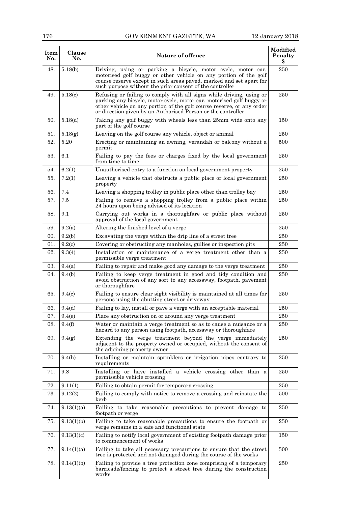# 176 GOVERNMENT GAZETTE, WA 12 January 2018

| Item<br>No. | <b>Clause</b><br>No. | Nature of offence                                                                                                                                                                                                                                                                     | Modified<br>Penalty<br>\$ |
|-------------|----------------------|---------------------------------------------------------------------------------------------------------------------------------------------------------------------------------------------------------------------------------------------------------------------------------------|---------------------------|
| 48.         | 5.18(b)              | Driving, using or parking a bicycle, motor cycle, motor car,<br>motorised golf buggy or other vehicle on any portion of the golf<br>course reserve except in such areas paved, marked and set apart for<br>such purpose without the prior consent of the controller                   | 250                       |
| 49.         | 5.18(c)              | Refusing or failing to comply with all signs while driving, using or<br>parking any bicycle, motor cycle, motor car, motorised golf buggy or<br>other vehicle on any portion of the golf course reserve, or any order<br>or direction given by an Authorised Person or the controller | 250                       |
| 50.         | 5.18(d)              | Taking any golf buggy with wheels less than 25mm wide onto any<br>part of the golf course                                                                                                                                                                                             | 150                       |
| 51.         | 5.18(g)              | Leaving on the golf course any vehicle, object or animal                                                                                                                                                                                                                              | 250                       |
| 52.         | 5.20                 | Erecting or maintaining an awning, verandah or balcony without a<br>permit                                                                                                                                                                                                            | 500                       |
| 53.         | 6.1                  | Failing to pay the fees or charges fixed by the local government<br>from time to time                                                                                                                                                                                                 | 250                       |
| 54.         | 6.2(1)               | Unauthorised entry to a function on local government property                                                                                                                                                                                                                         | 250                       |
| 55.         | 7.2(1)               | Leaving a vehicle that obstructs a public place or local government<br>property                                                                                                                                                                                                       | 250                       |
| 56.         | 7.4                  | Leaving a shopping trolley in public place other than trolley bay                                                                                                                                                                                                                     | 250                       |
| 57.         | 7.5                  | Failing to remove a shopping trolley from a public place within<br>24 hours upon being advised of its location                                                                                                                                                                        | 250                       |
| 58.         | 9.1                  | Carrying out works in a thoroughfare or public place without<br>approval of the local government                                                                                                                                                                                      | 250                       |
| 59.         | 9.2(a)               | Altering the finished level of a verge                                                                                                                                                                                                                                                | 250                       |
| 60.         | 9.2(b)               | Excavating the verge within the drip line of a street tree                                                                                                                                                                                                                            | 250                       |
| 61.         | 9.2(c)               | Covering or obstructing any manholes, gullies or inspection pits                                                                                                                                                                                                                      | 250                       |
| 62.         | 9.3(4)               | Installation or maintenance of a verge treatment other than a<br>permissible verge treatment                                                                                                                                                                                          | 250                       |
| 63.         | 9.4(a)               | Failing to repair and make good any damage to the verge treatment                                                                                                                                                                                                                     | 250                       |
| 64.         | 9.4(b)               | Failing to keep verge treatment in good and tidy condition and<br>avoid obstruction of any sort to any accessway, footpath, pavement<br>or thoroughfare                                                                                                                               | 250                       |
| 65.         | 9.4(c)               | Failing to ensure clear sight visibility is maintained at all times for<br>persons using the abutting street or driveway                                                                                                                                                              | 250                       |
| 66.         | 9.4 <sub>(d)</sub>   | Failing to lay, install or pave a verge with an acceptable material                                                                                                                                                                                                                   | 250                       |
| 67.         | 9.4(e)               | Place any obstruction on or around any verge treatment                                                                                                                                                                                                                                | 250                       |
| 68.         | 9.4(f)               | Water or maintain a verge treatment so as to cause a nuisance or a<br>hazard to any person using footpath, accessway or thoroughfare                                                                                                                                                  | 250                       |
| 69.         | 9.4(g)               | Extending the verge treatment beyond the verge immediately<br>adjacent to the property owned or occupied, without the consent of<br>the adjoining property owner                                                                                                                      | 250                       |
| 70.         | 9.4(h)               | Installing or maintain sprinklers or irrigation pipes contrary to<br>requirements                                                                                                                                                                                                     | 250                       |
| 71.         | 9.8                  | Installing or have installed a vehicle crossing other than a<br>permissible vehicle crossing                                                                                                                                                                                          | 250                       |
| 72.         | 9.11(1)              | Failing to obtain permit for temporary crossing                                                                                                                                                                                                                                       | 250                       |
| 73.         | 9.12(2)              | Failing to comply with notice to remove a crossing and reinstate the<br>kerb                                                                                                                                                                                                          | 500                       |
| 74.         | 9.13(1)(a)           | Failing to take reasonable precautions to prevent damage to<br>footpath or verge                                                                                                                                                                                                      | 250                       |
| 75.         | 9.13(1)(b)           | Failing to take reasonable precautions to ensure the footpath or<br>verge remains in a safe and functional state                                                                                                                                                                      | 250                       |
| 76.         | 9.13(1)(c)           | Failing to notify local government of existing footpath damage prior<br>to commencement of works                                                                                                                                                                                      | 150                       |
| 77.         | 9.14(1)(a)           | Failing to take all necessary precautions to ensure that the street<br>tree is protected and not damaged during the course of the works                                                                                                                                               | 500                       |
| 78.         | 9.14(1)(b)           | Failing to provide a tree protection zone comprising of a temporary<br>barricade/fencing to protect a street tree during the construction<br>works                                                                                                                                    | 250                       |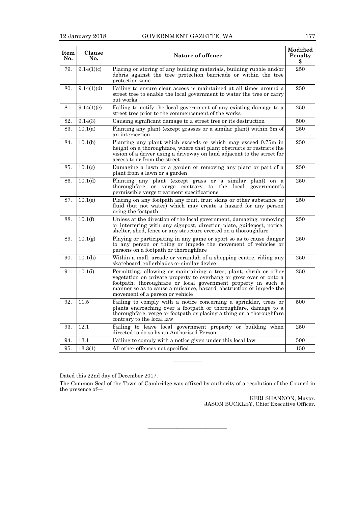| Item<br>No. | <b>Clause</b><br>No. | Nature of offence                                                                                                                                                                                                                                                                                                 | Modified<br>Penalty<br>\$ |
|-------------|----------------------|-------------------------------------------------------------------------------------------------------------------------------------------------------------------------------------------------------------------------------------------------------------------------------------------------------------------|---------------------------|
| 79.         | 9.14(1)(c)           | Placing or storing of any building materials, building rubble and/or<br>debris against the tree protection barricade or within the tree<br>protection zone                                                                                                                                                        | 250                       |
| 80.         | 9.14(1)(d)           | Failing to ensure clear access is maintained at all times around a<br>street tree to enable the local government to water the tree or carry<br>out works                                                                                                                                                          | 250                       |
| 81.         | 9.14(1)(e)           | Failing to notify the local government of any existing damage to a<br>street tree prior to the commencement of the works                                                                                                                                                                                          | 250                       |
| 82.         | 9.14(3)              | Causing significant damage to a street tree or its destruction                                                                                                                                                                                                                                                    | 500                       |
| 83.         | 10.1(a)              | Planting any plant (except grasses or a similar plant) within 6m of<br>an intersection                                                                                                                                                                                                                            | 250                       |
| 84.         | 10.1(b)              | Planting any plant which exceeds or which may exceed 0.75m in<br>height on a thoroughfare, where that plant obstructs or restricts the<br>vision of a driver using a driveway on land adjacent to the street for<br>access to or from the street                                                                  | 250                       |
| 85.         | 10.1(c)              | Damaging a lawn or a garden or removing any plant or part of a<br>plant from a lawn or a garden                                                                                                                                                                                                                   | 250                       |
| 86.         | 10.1(d)              | Planting any plant (except grass or a similar plant) on a<br>thoroughfare or verge contrary to the local<br>government's<br>permissible verge treatment specifications                                                                                                                                            | 250                       |
| 87.         | 10.1(e)              | Placing on any footpath any fruit, fruit skins or other substance or<br>fluid (but not water) which may create a hazard for any person<br>using the footpath                                                                                                                                                      | 250                       |
| 88.         | 10.1(f)              | Unless at the direction of the local government, damaging, removing<br>or interfering with any signpost, direction plate, guidepost, notice,<br>shelter, shed, fence or any structure erected on a thoroughfare                                                                                                   | 250                       |
| 89.         | 10.1(g)              | Playing or participating in any game or sport so as to cause danger<br>to any person or thing or impede the movement of vehicles or<br>persons on a footpath or thoroughfare                                                                                                                                      | 250                       |
| 90.         | 10.1(h)              | Within a mall, arcade or verandah of a shopping centre, riding any<br>skateboard, rollerblades or similar device                                                                                                                                                                                                  | 250                       |
| 91.         | 10.1(i)              | Permitting, allowing or maintaining a tree, plant, shrub or other<br>vegetation on private property to overhang or grow over or onto a<br>footpath, thoroughfare or local government property in such a<br>manner so as to cause a nuisance, hazard, obstruction or impede the<br>movement of a person or vehicle | 250                       |
| 92.         | 11.5                 | Failing to comply with a notice concerning a sprinkler, trees or<br>plants encroaching over a footpath or thoroughfare, damage to a<br>thorough fare, verge or footpath or placing a thing on a thorough fare<br>contrary to the local law                                                                        | 500                       |
| 93.         | 12.1                 | Failing to leave local government property or building when<br>directed to do so by an Authorised Person                                                                                                                                                                                                          | 250                       |
| 94.         | 13.1                 | Failing to comply with a notice given under this local law                                                                                                                                                                                                                                                        | 500                       |
| 95.         | 13.3(1)              | All other offences not specified                                                                                                                                                                                                                                                                                  | 150                       |

Dated this 22nd day of December 2017.

The Common Seal of the Town of Cambridge was affixed by authority of a resolution of the Council in the presence of—

———————————

————

KERI SHANNON, Mayor. JASON BUCKLEY, Chief Executive Officer.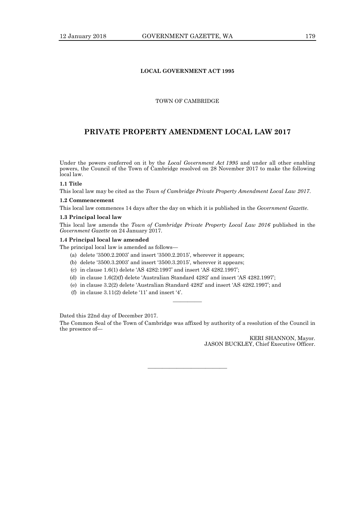# **LOCAL GOVERNMENT ACT 1995**

# TOWN OF CAMBRIDGE

# **PRIVATE PROPERTY AMENDMENT LOCAL LAW 2017**

Under the powers conferred on it by the *Local Government Act 1995* and under all other enabling powers, the Council of the Town of Cambridge resolved on 28 November 2017 to make the following local law.

# **1.1 Title**

This local law may be cited as the *Town of Cambridge Private Property Amendment Local Law 2017*.

# **1.2 Commencement**

This local law commences 14 days after the day on which it is published in the *Government Gazette*.

#### **1.3 Principal local law**

This local law amends the *Town of Cambridge Private Property Local Law 2016* published in the *Government Gazette* on 24 January 2017.

#### **1.4 Principal local law amended**

The principal local law is amended as follows—

- (a) delete '3500.2.2003' and insert '3500.2.2015', wherever it appears;
- (b) delete '3500.3.2003' and insert '3500.3.2015', wherever it appears;
- (c) in clause 1.6(1) delete 'AS 4282:1997' and insert 'AS 4282.1997';
- (d) in clause 1.6(2)(f) delete 'Australian Standard 4282' and insert 'AS 4282.1997';
- (e) in clause 3.2(2) delete 'Australian Standard 4282' and insert 'AS 4282.1997'; and
- (f) in clause 3.11(2) delete '11' and insert '4'.

Dated this 22nd day of December 2017.

The Common Seal of the Town of Cambridge was affixed by authority of a resolution of the Council in the presence of—

———————————

————

KERI SHANNON, Mayor. JASON BUCKLEY, Chief Executive Officer.